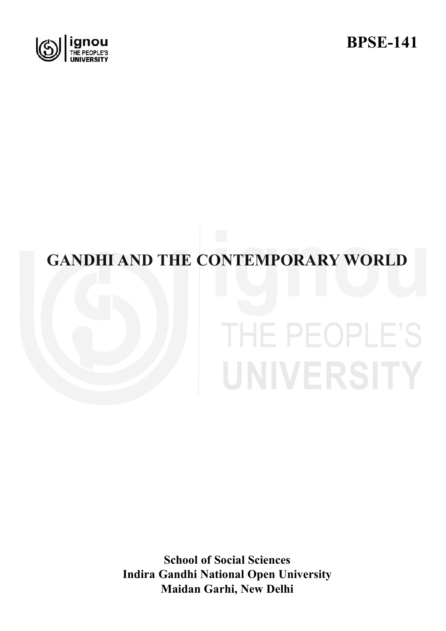

# **GANDHI AND THE CONTEMPORARY WORLD**

# THE PEOPLE'S UNIVERSITY

**School of Social Sciences Indira Gandhi National Open University Maidan Garhi, New Delhi**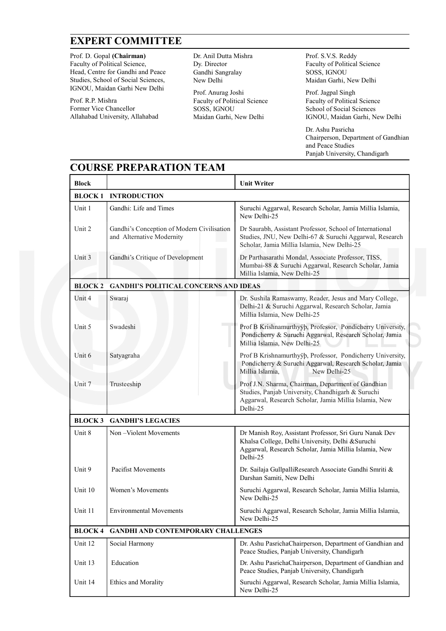## **EXPERT COMMITTEE**

## Prof. D. Gopal **(Chairman)** Faculty of Political Science, Head, Centre for Gandhi and Peace Studies, School of Social Sciences, IGNOU, Maidan Garhi New Delhi

Prof. R.P. Mishra Former Vice Chancellor Allahabad University, Allahabad Dr. Anil Dutta Mishra Dy. Director Gandhi Sangralay New Delhi

Prof. Anurag Joshi Faculty of Political Science SOSS, IGNOU Maidan Garhi, New Delhi

Prof. S.V.S. Reddy Faculty of Political Science SOSS, IGNOU Maidan Garhi, New Delhi

Prof. Jagpal Singh Faculty of Political Science School of Social Sciences IGNOU, Maidan Garhi, New Delhi

Dr. Ashu Pasricha Chairperson, Department of Gandhian and Peace Studies Panjab University, Chandigarh

## **Block Unit Writer BLOCK 1 INTRODUCTION** Unit 1 Gandhi: Life and Times Suruchi Aggarwal, Research Scholar, Jamia Millia Islamia, New Delhi-25 Unit 2 Gandhi's Conception of Modern Civilisation Dr Saurabh, Assistant Professor, School of International and Alternative Modernity Studies, JNU, New Delhi-67 & Suruchi Aggarwal, Research Scholar, Jamia Millia Islamia, New Delhi-25 Unit 3 Gandhi's Critique of Development Dr Parthasarathi Mondal, Associate Professor, TISS, Mumbai-88 & Suruchi Aggarwal, Research Scholar, Jamia Millia Islamia, New Delhi-25 **BLOCK 2 GANDHI'S POLITICAL CONCERNS AND IDEAS** Unit 4 Swaraj Dr. Sushila Ramaswamy, Reader, Jesus and Mary College, Delhi-21 & Suruchi Aggarwal, Research Scholar, Jamia Millia Islamia, New Delhi-25 Unit 5 Swadeshi Swadeshi Prof B Krishnamurthyÿþ, Professor, Pondicherry University, Pondicherry & Suruchi Aggarwal, Research Scholar, Jamia Millia Islamia, New Delhi-25 Unit 6 Satyagraha Prof B Krishnamurthyÿþ, Professor, Pondicherry University, Pondicherry & Suruchi Aggarwal, Research Scholar, Jamia Millia Islamia, New Delhi-25 Unit 7 Trusteeship Prof J.N. Sharma, Chairman, Department of Gandhian Studies, Panjab University, Chandhigarh & Suruchi Aggarwal, Research Scholar, Jamia Millia Islamia, New Delhi-25 **BLOCK 3 GANDHI'S LEGACIES** Unit 8 Non –Violent Movements Dr Manish Roy, Assistant Professor, Sri Guru Nanak Dev Khalsa College, Delhi University, Delhi &Suruchi Aggarwal, Research Scholar, Jamia Millia Islamia, New Delhi-25 Unit 9 Pacifist Movements Dr. Sailaja GullpalliResearch Associate Gandhi Smriti & Darshan Samiti, New Delhi Unit 10 Women's Movements Suruchi Aggarwal, Research Scholar, Jamia Millia Islamia, New Delhi-25 Unit 11 Environmental Movements Suruchi Aggarwal, Research Scholar, Jamia Millia Islamia, New Delhi-25 **BLOCK 4 GANDHI AND CONTEMPORARY CHALLENGES** Unit 12 Social Harmony Dr. Ashu PasrichaChairperson, Department of Gandhian and Peace Studies, Panjab University, Chandigarh Unit 13 Education Dr. Ashu PasrichaChairperson, Department of Gandhian and Peace Studies, Panjab University, Chandigarh Unit 14 Ethics and Morality Suruchi Aggarwal, Research Scholar, Jamia Millia Islamia, New Delhi-25

## **COURSE PREPARATION TEAM**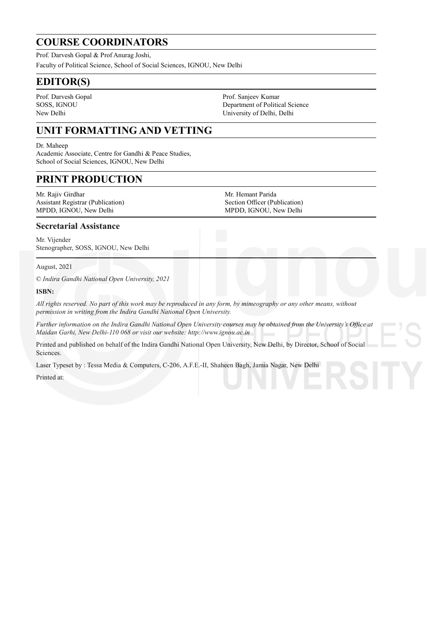## **COURSE COORDINATORS**

Prof. Darvesh Gopal & Prof Anurag Joshi, Faculty of Political Science, School of Social Sciences, IGNOU, New Delhi

## **EDITOR(S)**

Prof. Darvesh Gopal Prof. Sanjeev Kumar SOSS, IGNOU Department of Political Science<br>New Delhi<br>University of Delhi<br>Delhi University of Delhi, Delhi

## **UNIT FORMATTING AND VETTING**

Dr. Maheep

Academic Associate, Centre for Gandhi & Peace Studies, School of Social Sciences, IGNOU, New Delhi

## **PRINT PRODUCTION**

Mr. Rajiv Girdhar Mr. Hemant Parida Assistant Registrar (Publication) Section Officer (Publication)<br>
MPDD. IGNOU. New Delhi<br>
MPDD. IGNOU. New Delhi

MPDD, IGNOU, New Delhi

## **Secretarial Assistance**

Mr. Vijender Stenographer, SOSS, IGNOU, New Delhi

## August, 2021

© *Indira Gandhi National Open University, 2021*

## **ISBN:**

*All rights reserved. No part of this work may be reproduced in any form, by mimeography or any other means, without permission in writing from the Indira Gandhi National Open University.*

*Further information on the Indira Gandhi National Open University courses may be obtained from the University's Office at Maidan Garhi, New Delhi-110 068 or visit our website: http://www.ignou.ac.in*

Printed and published on behalf of the Indira Gandhi National Open University, New Delhi, by Director, School of Social Sciences.

Laser Typeset by : Tessa Media & Computers, C-206, A.F.E.-II, Shaheen Bagh, Jamia Nagar, New Delhi

Printed at: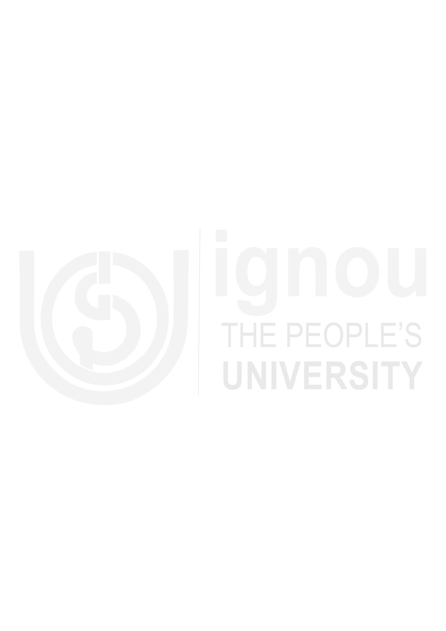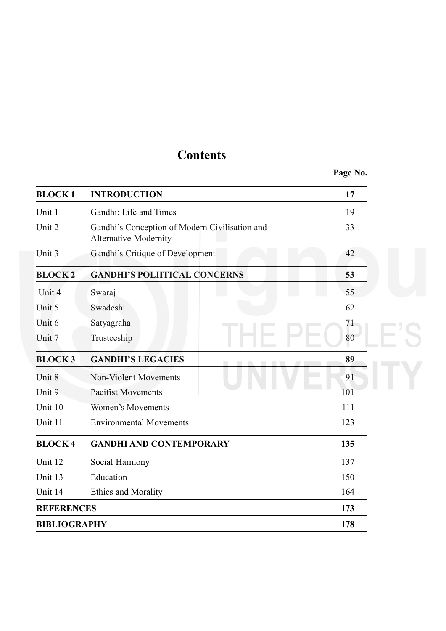## **Contents**

|                     |                                                                                | Page No. |  |
|---------------------|--------------------------------------------------------------------------------|----------|--|
| <b>BLOCK1</b>       | <b>INTRODUCTION</b>                                                            | 17       |  |
| Unit 1              | Gandhi: Life and Times                                                         | 19       |  |
| Unit 2              | Gandhi's Conception of Modern Civilisation and<br><b>Alternative Modernity</b> | 33       |  |
| Unit 3              | Gandhi's Critique of Development                                               | 42       |  |
| <b>BLOCK2</b>       | <b>GANDHI'S POLIITICAL CONCERNS</b>                                            | 53       |  |
| Unit 4              | Swaraj                                                                         | 55       |  |
| Unit 5              | Swadeshi                                                                       | 62       |  |
| Unit 6              | Satyagraha                                                                     | 71       |  |
| Unit 7              | Trusteeship                                                                    | 80       |  |
| <b>BLOCK3</b>       | <b>GANDHI'S LEGACIES</b>                                                       | 89       |  |
| Unit 8              | <b>Non-Violent Movements</b>                                                   | 91       |  |
| Unit 9              | <b>Pacifist Movements</b>                                                      | 101      |  |
| Unit 10             | <b>Women's Movements</b>                                                       | 111      |  |
| Unit 11             | <b>Environmental Movements</b>                                                 | 123      |  |
| <b>BLOCK4</b>       | <b>GANDHI AND CONTEMPORARY</b>                                                 | 135      |  |
| Unit 12             | Social Harmony                                                                 | 137      |  |
| Unit 13             | Education                                                                      | 150      |  |
| Unit 14             | <b>Ethics and Morality</b>                                                     | 164      |  |
| <b>REFERENCES</b>   |                                                                                | 173      |  |
| <b>BIBLIOGRAPHY</b> |                                                                                | 178      |  |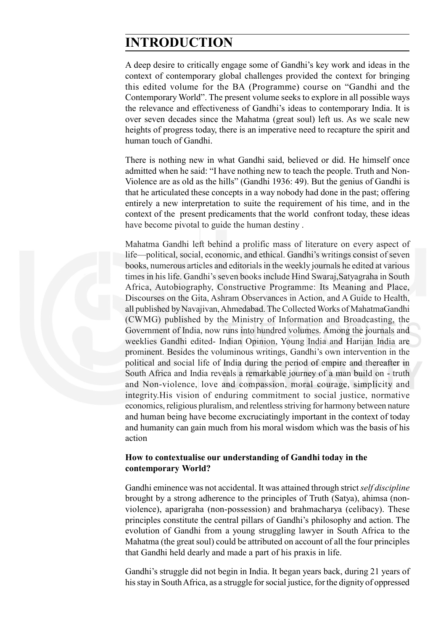## **INTRODUCTION**

A deep desire to critically engage some of Gandhi's key work and ideas in the context of contemporary global challenges provided the context for bringing this edited volume for the BA (Programme) course on "Gandhi and the Contemporary World". The present volume seeks to explore in all possible ways the relevance and effectiveness of Gandhi's ideas to contemporary India. It is over seven decades since the Mahatma (great soul) left us. As we scale new heights of progress today, there is an imperative need to recapture the spirit and human touch of Gandhi.

There is nothing new in what Gandhi said, believed or did. He himself once admitted when he said: "I have nothing new to teach the people. Truth and Non-Violence are as old as the hills" (Gandhi 1936: 49). But the genius of Gandhi is that he articulated these concepts in a way nobody had done in the past; offering entirely a new interpretation to suite the requirement of his time, and in the context of the present predicaments that the world confront today, these ideas have become pivotal to guide the human destiny .

Mahatma Gandhi left behind a prolific mass of literature on every aspect of life—political, social, economic, and ethical. Gandhi's writings consist of seven books, numerous articles and editorials in the weekly journals he edited at various times in his life. Gandhi's seven books include Hind Swaraj,Satyagraha in South Africa, Autobiography, Constructive Programme: Its Meaning and Place, Discourses on the Gita, Ashram Observances in Action, and A Guide to Health, all published by Navajivan, Ahmedabad. The Collected Works of MahatmaGandhi (CWMG) published by the Ministry of Information and Broadcasting, the Government of India, now runs into hundred volumes. Among the journals and weeklies Gandhi edited- Indian Opinion, Young India and Harijan India are prominent. Besides the voluminous writings, Gandhi's own intervention in the political and social life of India during the period of empire and thereafter in South Africa and India reveals a remarkable journey of a man build on - truth and Non-violence, love and compassion, moral courage, simplicity and integrity.His vision of enduring commitment to social justice, normative economics, religious pluralism, and relentless striving for harmony between nature and human being have become excruciatingly important in the context of today and humanity can gain much from his moral wisdom which was the basis of his action

## **How to contextualise our understanding of Gandhi today in the contemporary World?**

Gandhi eminence was not accidental. It was attained through strict *self discipline* brought by a strong adherence to the principles of Truth (Satya), ahimsa (nonviolence), aparigraha (non-possession) and brahmacharya (celibacy). These principles constitute the central pillars of Gandhi's philosophy and action. The evolution of Gandhi from a young struggling lawyer in South Africa to the Mahatma (the great soul) could be attributed on account of all the four principles that Gandhi held dearly and made a part of his praxis in life.

Gandhi's struggle did not begin in India. It began years back, during 21 years of his stay in South Africa, as a struggle for social justice, for the dignity of oppressed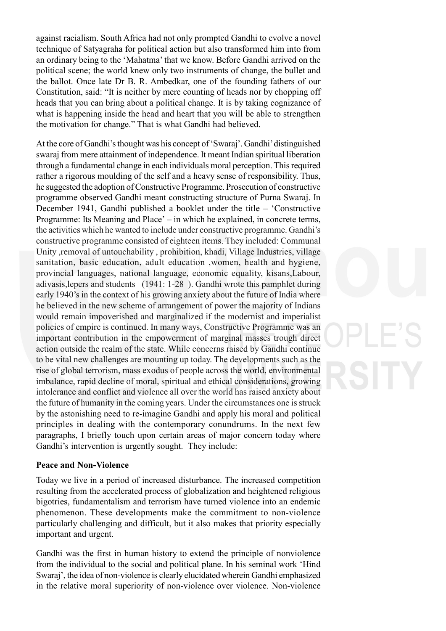against racialism. South Africa had not only prompted Gandhi to evolve a novel technique of Satyagraha for political action but also transformed him into from an ordinary being to the 'Mahatma' that we know. Before Gandhi arrived on the political scene; the world knew only two instruments of change, the bullet and the ballot. Once late Dr B. R. Ambedkar, one of the founding fathers of our Constitution, said: "It is neither by mere counting of heads nor by chopping off heads that you can bring about a political change. It is by taking cognizance of what is happening inside the head and heart that you will be able to strengthen the motivation for change." That is what Gandhi had believed.

At the core of Gandhi's thought was his concept of 'Swaraj'. Gandhi' distinguished swaraj from mere attainment of independence. It meant Indian spiritual liberation through a fundamental change in each individuals moral perception. This required rather a rigorous moulding of the self and a heavy sense of responsibility. Thus, he suggested the adoption of Constructive Programme. Prosecution of constructive programme observed Gandhi meant constructing structure of Purna Swaraj. In December 1941, Gandhi published a booklet under the title – 'Constructive Programme: Its Meaning and Place' – in which he explained, in concrete terms, the activities which he wanted to include under constructive programme. Gandhi's constructive programme consisted of eighteen items. They included: Communal Unity ,removal of untouchability , prohibition, khadi, Village Industries, village sanitation, basic education, adult education ,women, health and hygiene, provincial languages, national language, economic equality, kisans,Labour, adivasis,lepers and students (1941: 1-28 ). Gandhi wrote this pamphlet during early 1940's in the context of his growing anxiety about the future of India where he believed in the new scheme of arrangement of power the majority of Indians would remain impoverished and marginalized if the modernist and imperialist policies of empire is continued. In many ways, Constructive Programme was an important contribution in the empowerment of marginal masses trough direct action outside the realm of the state. While concerns raised by Gandhi continue to be vital new challenges are mounting up today. The developments such as the rise of global terrorism, mass exodus of people across the world, environmental imbalance, rapid decline of moral, spiritual and ethical considerations, growing intolerance and conflict and violence all over the world has raised anxiety about the future of humanity in the coming years. Under the circumstances one is struck by the astonishing need to re-imagine Gandhi and apply his moral and political principles in dealing with the contemporary conundrums. In the next few paragraphs, I briefly touch upon certain areas of major concern today where Gandhi's intervention is urgently sought. They include:

## **Peace and Non-Violence**

Today we live in a period of increased disturbance. The increased competition resulting from the accelerated process of globalization and heightened religious bigotries, fundamentalism and terrorism have turned violence into an endemic phenomenon. These developments make the commitment to non-violence particularly challenging and difficult, but it also makes that priority especially important and urgent.

Gandhi was the first in human history to extend the principle of nonviolence from the individual to the social and political plane. In his seminal work 'Hind Swaraj', the idea of non-violence is clearly elucidated wherein Gandhi emphasized in the relative moral superiority of non-violence over violence. Non-violence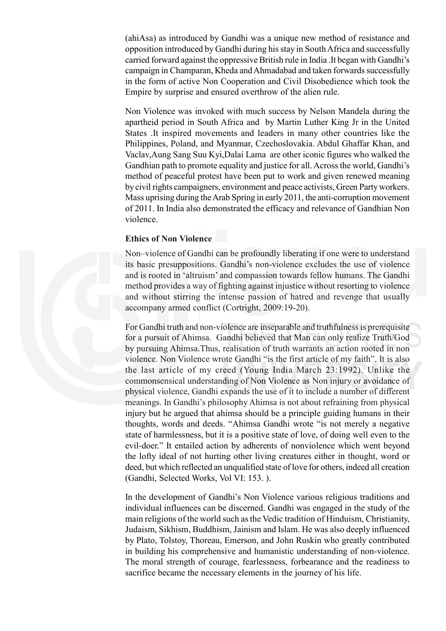(ahiAsa) as introduced by Gandhi was a unique new method of resistance and opposition introduced by Gandhi during his stay in South Africa and successfully carried forward against the oppressive British rule in India .It began with Gandhi's campaign in Champaran, Kheda and Ahmadabad and taken forwards successfully in the form of active Non Cooperation and Civil Disobedience which took the Empire by surprise and ensured overthrow of the alien rule.

Non Violence was invoked with much success by Nelson Mandela during the apartheid period in South Africa and by Martin Luther King Jr in the United States .It inspired movements and leaders in many other countries like the Philippines, Poland, and Myanmar, Czechoslovakia. Abdul Ghaffar Khan, and Vaclav,Aung Sang Suu Kyi,Dalai Lama are other iconic figures who walked the Gandhian path to promote equality and justice for all. Across the world, Gandhi's method of peaceful protest have been put to work and given renewed meaning by civil rights campaigners, environment and peace activists, Green Party workers. Mass uprising during the Arab Spring in early 2011, the anti-corruption movement of 2011. In India also demonstrated the efficacy and relevance of Gandhian Non violence.

## **Ethics of Non Violence**

Non–violence of Gandhi can be profoundly liberating if one were to understand its basic presuppositions. Gandhi's non-violence excludes the use of violence and is rooted in 'altruism' and compassion towards fellow humans. The Gandhi method provides a way of fighting against injustice without resorting to violence and without stirring the intense passion of hatred and revenge that usually accompany armed conflict (Cortright, 2009:19-20).

For Gandhi truth and non-violence are inseparable and truthfulness is prerequisite for a pursuit of Ahimsa. Gandhi believed that Man can only realize Truth/God by pursuing Ahimsa.Thus, realisation of truth warrants an action rooted in non violence. Non Violence wrote Gandhi "is the first article of my faith". It is also the last article of my creed (Young India March 23:1992). Unlike the commonsensical understanding of Non Violence as Non injury or avoidance of physical violence, Gandhi expands the use of it to include a number of different meanings. In Gandhi's philosophy Ahimsa is not about refraining from physical injury but he argued that ahimsa should be a principle guiding humans in their thoughts, words and deeds. "Ahimsa Gandhi wrote "is not merely a negative state of harmlessness, but it is a positive state of love, of doing well even to the evil-doer." It entailed action by adherents of nonviolence which went beyond the lofty ideal of not hurting other living creatures either in thought, word or deed, but which reflected an unqualified state of love for others, indeed all creation (Gandhi, Selected Works, Vol VI: 153. ).

In the development of Gandhi's Non Violence various religious traditions and individual influences can be discerned. Gandhi was engaged in the study of the main religions of the world such as the Vedic tradition of Hinduism, Christianity, Judaism, Sikhism, Buddhism, Jainism and Islam. He was also deeply influenced by Plato, Tolstoy, Thoreau, Emerson, and John Ruskin who greatly contributed in building his comprehensive and humanistic understanding of non-violence. The moral strength of courage, fearlessness, forbearance and the readiness to sacrifice became the necessary elements in the journey of his life.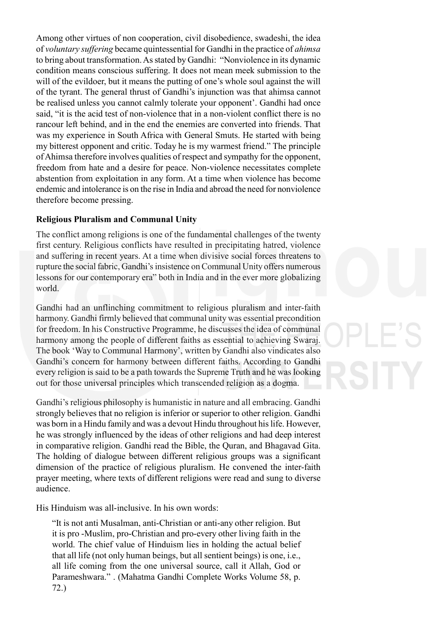Among other virtues of non cooperation, civil disobedience, swadeshi, the idea of *voluntary suffering* became quintessential for Gandhi in the practice of *ahimsa* to bring about transformation. As stated by Gandhi: "Nonviolence in its dynamic condition means conscious suffering. It does not mean meek submission to the will of the evildoer, but it means the putting of one's whole soul against the will of the tyrant. The general thrust of Gandhi's injunction was that ahimsa cannot be realised unless you cannot calmly tolerate your opponent'. Gandhi had once said, "it is the acid test of non-violence that in a non-violent conflict there is no rancour left behind, and in the end the enemies are converted into friends. That was my experience in South Africa with General Smuts. He started with being my bitterest opponent and critic. Today he is my warmest friend." The principle of Ahimsa therefore involves qualities of respect and sympathy for the opponent, freedom from hate and a desire for peace. Non-violence necessitates complete abstention from exploitation in any form. At a time when violence has become endemic and intolerance is on the rise in India and abroad the need for nonviolence therefore become pressing.

## **Religious Pluralism and Communal Unity**

The conflict among religions is one of the fundamental challenges of the twenty first century. Religious conflicts have resulted in precipitating hatred, violence and suffering in recent years. At a time when divisive social forces threatens to rupture the social fabric, Gandhi's insistence on Communal Unity offers numerous lessons for our contemporary era" both in India and in the ever more globalizing world.

Gandhi had an unflinching commitment to religious pluralism and inter-faith harmony. Gandhi firmly believed that communal unity was essential precondition for freedom. In his Constructive Programme, he discusses the idea of communal harmony among the people of different faiths as essential to achieving Swaraj. The book 'Way to Communal Harmony', written by Gandhi also vindicates also Gandhi's concern for harmony between different faiths. According to Gandhi every religion is said to be a path towards the Supreme Truth and he was looking out for those universal principles which transcended religion as a dogma.

Gandhi's religious philosophy is humanistic in nature and all embracing. Gandhi strongly believes that no religion is inferior or superior to other religion. Gandhi was born in a Hindu family and was a devout Hindu throughout his life. However, he was strongly influenced by the ideas of other religions and had deep interest in comparative religion. Gandhi read the Bible, the Quran, and Bhagavad Gita. The holding of dialogue between different religious groups was a significant dimension of the practice of religious pluralism. He convened the inter-faith prayer meeting, where texts of different religions were read and sung to diverse audience.

His Hinduism was all-inclusive. In his own words:

"It is not anti Musalman, anti-Christian or anti-any other religion. But it is pro -Muslim, pro-Christian and pro-every other living faith in the world. The chief value of Hinduism lies in holding the actual belief that all life (not only human beings, but all sentient beings) is one, i.e., all life coming from the one universal source, call it Allah, God or Parameshwara." . (Mahatma Gandhi Complete Works Volume 58, p. 72.)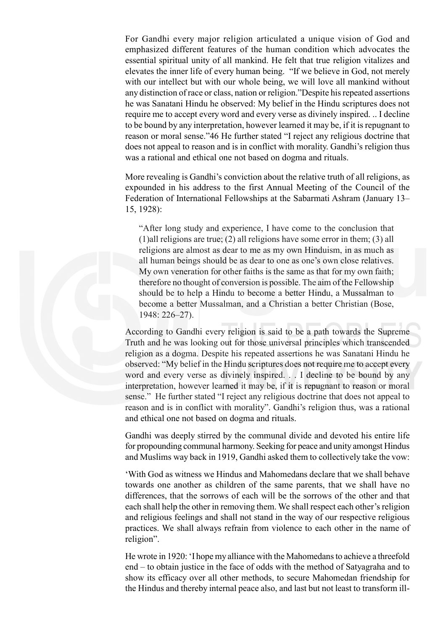For Gandhi every major religion articulated a unique vision of God and emphasized different features of the human condition which advocates the essential spiritual unity of all mankind. He felt that true religion vitalizes and elevates the inner life of every human being. "If we believe in God, not merely with our intellect but with our whole being, we will love all mankind without any distinction of race or class, nation or religion."Despite his repeated assertions he was Sanatani Hindu he observed: My belief in the Hindu scriptures does not require me to accept every word and every verse as divinely inspired. .. I decline to be bound by any interpretation, however learned it may be, if it is repugnant to reason or moral sense."46 He further stated "I reject any religious doctrine that does not appeal to reason and is in conflict with morality. Gandhi's religion thus was a rational and ethical one not based on dogma and rituals.

More revealing is Gandhi's conviction about the relative truth of all religions, as expounded in his address to the first Annual Meeting of the Council of the Federation of International Fellowships at the Sabarmati Ashram (January 13– 15, 1928):

"After long study and experience, I have come to the conclusion that (1)all religions are true; (2) all religions have some error in them; (3) all religions are almost as dear to me as my own Hinduism, in as much as all human beings should be as dear to one as one's own close relatives. My own veneration for other faiths is the same as that for my own faith; therefore no thought of conversion is possible. The aim of the Fellowship should be to help a Hindu to become a better Hindu, a Mussalman to become a better Mussalman, and a Christian a better Christian (Bose, 1948: 226–27).

According to Gandhi every religion is said to be a path towards the Supreme Truth and he was looking out for those universal principles which transcended religion as a dogma. Despite his repeated assertions he was Sanatani Hindu he observed: "My belief in the Hindu scriptures does not require me to accept every word and every verse as divinely inspired. . . I decline to be bound by any interpretation, however learned it may be, if it is repugnant to reason or moral sense." He further stated "I reject any religious doctrine that does not appeal to reason and is in conflict with morality". Gandhi's religion thus, was a rational and ethical one not based on dogma and rituals.

Gandhi was deeply stirred by the communal divide and devoted his entire life for propounding communal harmony. Seeking for peace and unity amongst Hindus and Muslims way back in 1919, Gandhi asked them to collectively take the vow:

'With God as witness we Hindus and Mahomedans declare that we shall behave towards one another as children of the same parents, that we shall have no differences, that the sorrows of each will be the sorrows of the other and that each shall help the other in removing them. We shall respect each other's religion and religious feelings and shall not stand in the way of our respective religious practices. We shall always refrain from violence to each other in the name of religion".

He wrote in 1920: 'I hope my alliance with the Mahomedans to achieve a threefold end – to obtain justice in the face of odds with the method of Satyagraha and to show its efficacy over all other methods, to secure Mahomedan friendship for the Hindus and thereby internal peace also, and last but not least to transform ill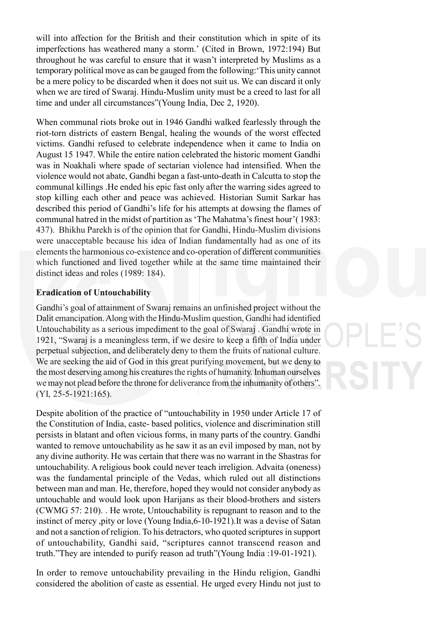will into affection for the British and their constitution which in spite of its imperfections has weathered many a storm.' (Cited in Brown, 1972:194) But throughout he was careful to ensure that it wasn't interpreted by Muslims as a temporary political move as can be gauged from the following:'This unity cannot be a mere policy to be discarded when it does not suit us. We can discard it only when we are tired of Swaraj. Hindu-Muslim unity must be a creed to last for all time and under all circumstances"(Young India, Dec 2, 1920).

When communal riots broke out in 1946 Gandhi walked fearlessly through the riot-torn districts of eastern Bengal, healing the wounds of the worst effected victims. Gandhi refused to celebrate independence when it came to India on August 15 1947. While the entire nation celebrated the historic moment Gandhi was in Noakhali where spade of sectarian violence had intensified. When the violence would not abate, Gandhi began a fast-unto-death in Calcutta to stop the communal killings .He ended his epic fast only after the warring sides agreed to stop killing each other and peace was achieved. Historian Sumit Sarkar has described this period of Gandhi's life for his attempts at dowsing the flames of communal hatred in the midst of partition as 'The Mahatma's finest hour'( 1983: 437). Bhikhu Parekh is of the opinion that for Gandhi, Hindu-Muslim divisions were unacceptable because his idea of Indian fundamentally had as one of its elements the harmonious co-existence and co-operation of different communities which functioned and lived together while at the same time maintained their distinct ideas and roles (1989: 184).

## **Eradication of Untouchability**

Gandhi's goal of attainment of Swaraj remains an unfinished project without the Dalit emancipation. Along with the Hindu-Muslim question, Gandhi had identified Untouchability as a serious impediment to the goal of Swaraj . Gandhi wrote in 1921, "Swaraj is a meaningless term, if we desire to keep a fifth of India under perpetual subjection, and deliberately deny to them the fruits of national culture. We are seeking the aid of God in this great purifying movement, but we deny to the most deserving among his creatures the rights of humanity. Inhuman ourselves we may not plead before the throne for deliverance from the inhumanity of others". (YI, 25-5-1921:165).

Despite abolition of the practice of "untouchability in 1950 under Article 17 of the Constitution of India, caste- based politics, violence and discrimination still persists in blatant and often vicious forms, in many parts of the country. Gandhi wanted to remove untouchability as he saw it as an evil imposed by man, not by any divine authority. He was certain that there was no warrant in the Shastras for untouchability. A religious book could never teach irreligion. Advaita (oneness) was the fundamental principle of the Vedas, which ruled out all distinctions between man and man. He, therefore, hoped they would not consider anybody as untouchable and would look upon Harijans as their blood-brothers and sisters (CWMG 57: 210). . He wrote, Untouchability is repugnant to reason and to the instinct of mercy ,pity or love (Young India,6-10-1921).It was a devise of Satan and not a sanction of religion. To his detractors, who quoted scriptures in support of untouchability, Gandhi said, "scriptures cannot transcend reason and truth."They are intended to purify reason ad truth"(Young India :19-01-1921).

In order to remove untouchability prevailing in the Hindu religion, Gandhi considered the abolition of caste as essential. He urged every Hindu not just to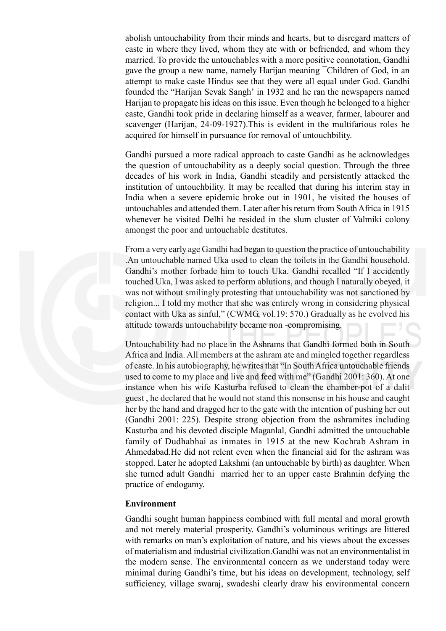abolish untouchability from their minds and hearts, but to disregard matters of caste in where they lived, whom they ate with or befriended, and whom they married. To provide the untouchables with a more positive connotation, Gandhi gave the group a new name, namely Harijan meaning ¯Children of God, in an attempt to make caste Hindus see that they were all equal under God. Gandhi founded the "Harijan Sevak Sangh' in 1932 and he ran the newspapers named Harijan to propagate his ideas on this issue. Even though he belonged to a higher caste, Gandhi took pride in declaring himself as a weaver, farmer, labourer and scavenger (Harijan, 24-09-1927).This is evident in the multifarious roles he acquired for himself in pursuance for removal of untouchbility.

Gandhi pursued a more radical approach to caste Gandhi as he acknowledges the question of untouchability as a deeply social question. Through the three decades of his work in India, Gandhi steadily and persistently attacked the institution of untouchbility. It may be recalled that during his interim stay in India when a severe epidemic broke out in 1901, he visited the houses of untouchables and attended them. Later after his return from South Africa in 1915 whenever he visited Delhi he resided in the slum cluster of Valmiki colony amongst the poor and untouchable destitutes.

From a very early age Gandhi had began to question the practice of untouchability .An untouchable named Uka used to clean the toilets in the Gandhi household. Gandhi's mother forbade him to touch Uka. Gandhi recalled "If I accidently touched Uka, I was asked to perform ablutions, and though I naturally obeyed, it was not without smilingly protesting that untouchability was not sanctioned by religion... I told my mother that she was entirely wrong in considering physical contact with Uka as sinful," (CWMG, vol.19: 570.) Gradually as he evolved his attitude towards untouchability became non -compromising.

Untouchability had no place in the Ashrams that Gandhi formed both in South Africa and India. All members at the ashram ate and mingled together regardless of caste. In his autobiography, he writes that "In South Africa untouchable friends used to come to my place and live and feed with me" (Gandhi 2001: 360). At one instance when his wife Kasturba refused to clean the chamber-pot of a dalit guest , he declared that he would not stand this nonsense in his house and caught her by the hand and dragged her to the gate with the intention of pushing her out (Gandhi 2001: 225). Despite strong objection from the ashramites including Kasturba and his devoted disciple Maganlal, Gandhi admitted the untouchable family of Dudhabhai as inmates in 1915 at the new Kochrab Ashram in Ahmedabad.He did not relent even when the financial aid for the ashram was stopped. Later he adopted Lakshmi (an untouchable by birth) as daughter. When she turned adult Gandhi married her to an upper caste Brahmin defying the practice of endogamy.

## **Environment**

Gandhi sought human happiness combined with full mental and moral growth and not merely material prosperity. Gandhi's voluminous writings are littered with remarks on man's exploitation of nature, and his views about the excesses of materialism and industrial civilization.Gandhi was not an environmentalist in the modern sense. The environmental concern as we understand today were minimal during Gandhi's time, but his ideas on development, technology, self sufficiency, village swaraj, swadeshi clearly draw his environmental concern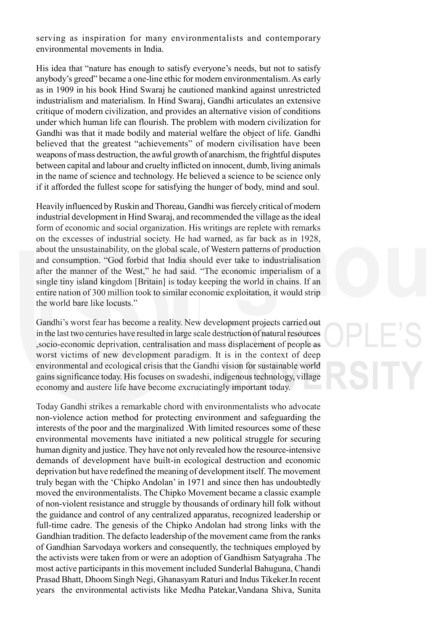serving as inspiration for many environmentalists and contemporary environmental movements in India.

His idea that "nature has enough to satisfy everyone's needs, but not to satisfy anybody's greed" became a one-line ethic for modern environmentalism. As early as in 1909 in his book Hind Swaraj he cautioned mankind against unrestricted industrialism and materialism. In Hind Swaraj, Gandhi articulates an extensive critique of modern civilization, and provides an alternative vision of conditions under which human life can flourish. The problem with modern civilization for Gandhi was that it made bodily and material welfare the object of life. Gandhi believed that the greatest "achievements" of modern civilisation have been weapons of mass destruction, the awful growth of anarchism, the frightful disputes between capital and labour and cruelty inflicted on innocent, dumb, living animals in the name of science and technology. He believed a science to be science only if it afforded the fullest scope for satisfying the hunger of body, mind and soul.

Heavily influenced by Ruskin and Thoreau, Gandhi was fiercely critical of modern industrial development in Hind Swaraj, and recommended the village as the ideal form of economic and social organization. His writings are replete with remarks on the excesses of industrial society. He had warned, as far back as in 1928, about the unsustainability, on the global scale, of Western patterns of production and consumption. "God forbid that India should ever take to industrialisation after the manner of the West," he had said. "The economic imperialism of a single tiny island kingdom [Britain] is today keeping the world in chains. If an entire nation of 300 million took to similar economic exploitation, it would strip the world bare like locusts."

Gandhi's worst fear has become a reality. New development projects carried out in the last two centuries have resulted in large scale destruction of natural resources ,socio-economic deprivation, centralisation and mass displacement of people as worst victims of new development paradigm. It is in the context of deep environmental and ecological crisis that the Gandhi vision for sustainable world gains significance today. His focuses on swadeshi, indigenous technology, village economy and austere life have become excruciatingly important today.

Today Gandhi strikes a remarkable chord with environmentalists who advocate non-violence action method for protecting environment and safeguarding the interests of the poor and the marginalized .With limited resources some of these environmental movements have initiated a new political struggle for securing human dignity and justice. They have not only revealed how the resource-intensive demands of development have built-in ecological destruction and economic deprivation but have redefined the meaning of development itself. The movement truly began with the 'Chipko Andolan' in 1971 and since then has undoubtedly moved the environmentalists. The Chipko Movement became a classic example of non-violent resistance and struggle by thousands of ordinary hill folk without the guidance and control of any centralized apparatus, recognized leadership or full-time cadre. The genesis of the Chipko Andolan had strong links with the Gandhian tradition. The defacto leadership of the movement came from the ranks of Gandhian Sarvodaya workers and consequently, the techniques employed by the activists were taken from or were an adoption of Gandhism Satyagraha .The most active participants in this movement included Sunderlal Bahuguna, Chandi Prasad Bhatt, Dhoom Singh Negi, Ghanasyam Raturi and Indus Tikeker.In recent years the environmental activists like Medha Patekar,Vandana Shiva, Sunita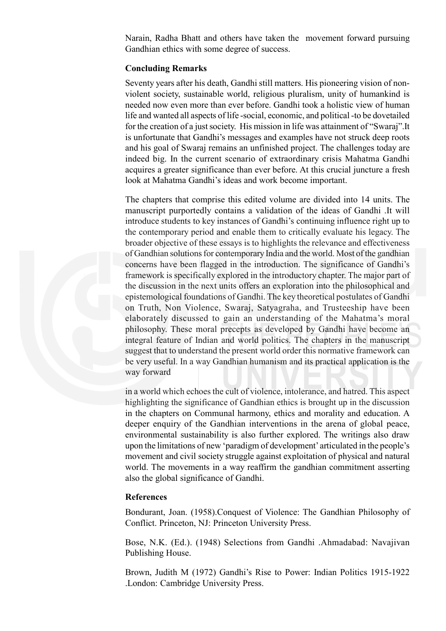Narain, Radha Bhatt and others have taken the movement forward pursuing Gandhian ethics with some degree of success.

## **Concluding Remarks**

Seventy years after his death, Gandhi still matters. His pioneering vision of nonviolent society, sustainable world, religious pluralism, unity of humankind is needed now even more than ever before. Gandhi took a holistic view of human life and wanted all aspects of life -social, economic, and political -to be dovetailed for the creation of a just society. His mission in life was attainment of "Swaraj".It is unfortunate that Gandhi's messages and examples have not struck deep roots and his goal of Swaraj remains an unfinished project. The challenges today are indeed big. In the current scenario of extraordinary crisis Mahatma Gandhi acquires a greater significance than ever before. At this crucial juncture a fresh look at Mahatma Gandhi's ideas and work become important.

The chapters that comprise this edited volume are divided into 14 units. The manuscript purportedly contains a validation of the ideas of Gandhi .It will introduce students to key instances of Gandhi's continuing influence right up to the contemporary period and enable them to critically evaluate his legacy. The broader objective of these essays is to highlights the relevance and effectiveness of Gandhian solutions for contemporary India and the world. Most of the gandhian concerns have been flagged in the introduction. The significance of Gandhi's framework is specifically explored in the introductory chapter. The major part of the discussion in the next units offers an exploration into the philosophical and epistemological foundations of Gandhi. The key theoretical postulates of Gandhi on Truth, Non Violence, Swaraj, Satyagraha, and Trusteeship have been elaborately discussed to gain an understanding of the Mahatma's moral philosophy. These moral precepts as developed by Gandhi have become an integral feature of Indian and world politics. The chapters in the manuscript suggest that to understand the present world order this normative framework can be very useful. In a way Gandhian humanism and its practical application is the way forward

in a world which echoes the cult of violence, intolerance, and hatred. This aspect highlighting the significance of Gandhian ethics is brought up in the discussion in the chapters on Communal harmony, ethics and morality and education. A deeper enquiry of the Gandhian interventions in the arena of global peace, environmental sustainability is also further explored. The writings also draw upon the limitations of new 'paradigm of development' articulated in the people's movement and civil society struggle against exploitation of physical and natural world. The movements in a way reaffirm the gandhian commitment asserting also the global significance of Gandhi.

## **References**

Bondurant, Joan. (1958).Conquest of Violence: The Gandhian Philosophy of Conflict. Princeton, NJ: Princeton University Press.

Bose, N.K. (Ed.). (1948) Selections from Gandhi .Ahmadabad: Navajivan Publishing House.

Brown, Judith M (1972) Gandhi's Rise to Power: Indian Politics 1915-1922 .London: Cambridge University Press.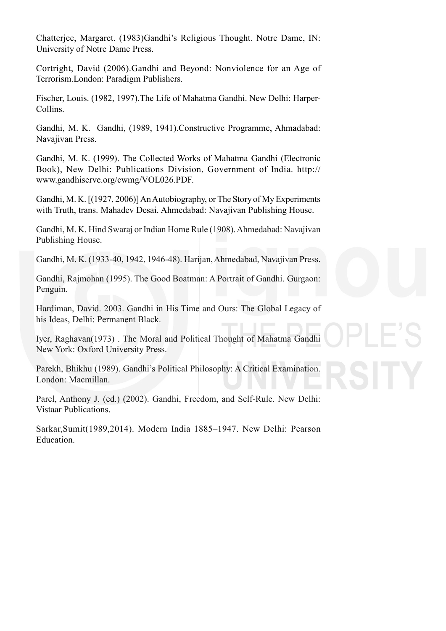Chatterjee, Margaret. (1983)Gandhi's Religious Thought. Notre Dame, IN: University of Notre Dame Press.

Cortright, David (2006).Gandhi and Beyond: Nonviolence for an Age of Terrorism.London: Paradigm Publishers.

Fischer, Louis. (1982, 1997).The Life of Mahatma Gandhi. New Delhi: Harper-Collins.

Gandhi, M. K. Gandhi, (1989, 1941).Constructive Programme, Ahmadabad: Navajivan Press.

Gandhi, M. K. (1999). The Collected Works of Mahatma Gandhi (Electronic Book), New Delhi: Publications Division, Government of India. http:// www.gandhiserve.org/cwmg/VOL026.PDF.

Gandhi, M. K. [(1927, 2006)] An Autobiography, or The Story of My Experiments with Truth, trans. Mahadev Desai. Ahmedabad: Navajivan Publishing House.

Gandhi, M. K. Hind Swaraj or Indian Home Rule (1908). Ahmedabad: Navajivan Publishing House.

Gandhi, M. K. (1933-40, 1942, 1946-48). Harijan, Ahmedabad, Navajivan Press.

Gandhi, Rajmohan (1995). The Good Boatman: A Portrait of Gandhi. Gurgaon: Penguin.

Hardiman, David. 2003. Gandhi in His Time and Ours: The Global Legacy of his Ideas, Delhi: Permanent Black.

Iyer, Raghavan(1973) . The Moral and Political Thought of Mahatma Gandhi New York: Oxford University Press.

Parekh, Bhikhu (1989). Gandhi's Political Philosophy: A Critical Examination. London: Macmillan.

Parel, Anthony J. (ed.) (2002). Gandhi, Freedom, and Self-Rule. New Delhi: Vistaar Publications.

Sarkar,Sumit(1989,2014). Modern India 1885–1947. New Delhi: Pearson **Education**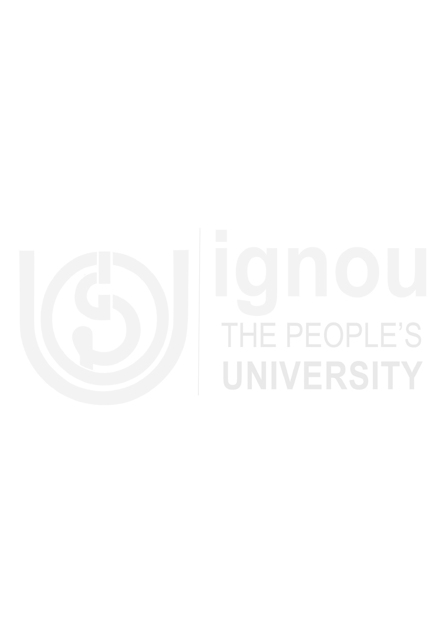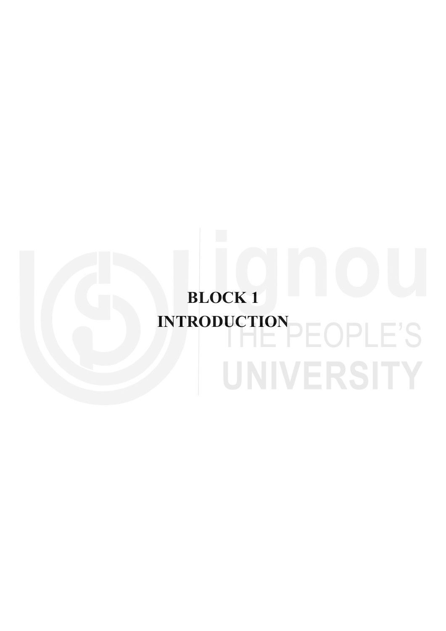# **BLOCK 1 INTRODUCTION**UNIVERSITY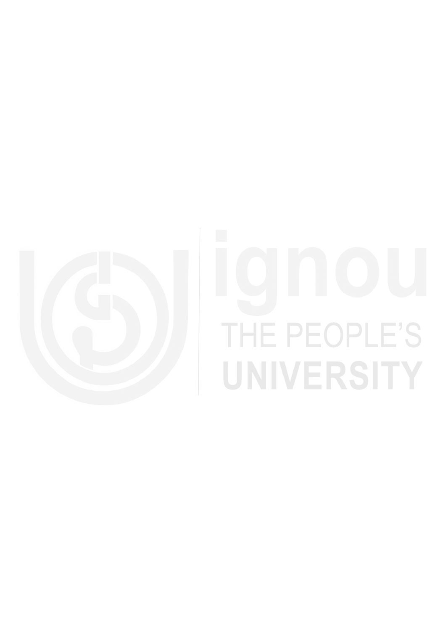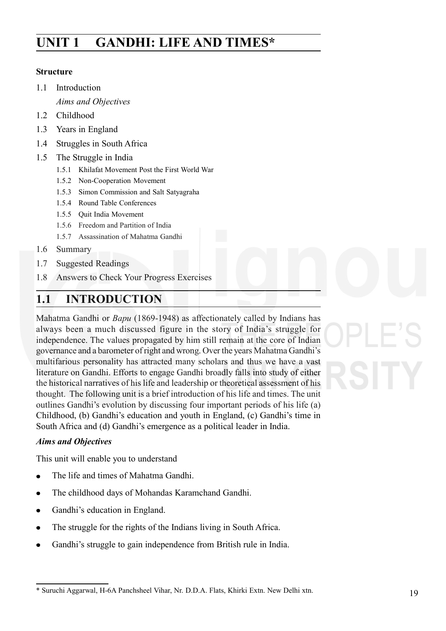## **UNIT 1 GANDHI: LIFE AND TIMES\***

## **Structure**

1.1 Introduction

*Aims and Objectives*

- 1.2 Childhood
- 1.3 Years in England
- 1.4 Struggles in South Africa
- 1.5 The Struggle in India
	- 1.5.1 Khilafat Movement Post the First World War
	- 1.5.2 Non-Cooperation Movement
	- 1.5.3 Simon Commission and Salt Satyagraha
	- 1.5.4 Round Table Conferences
	- 1.5.5 Quit India Movement
	- 1.5.6 Freedom and Partition of India
	- 1.5.7 Assassination of Mahatma Gandhi
- 1.6 Summary
- 1.7 Suggested Readings
- 1.8 Answers to Check Your Progress Exercises

## **1.1 INTRODUCTION**

Mahatma Gandhi or *Bapu* (1869-1948) as affectionately called by Indians has always been a much discussed figure in the story of India's struggle for independence. The values propagated by him still remain at the core of Indian governance and a barometer of right and wrong. Over the years Mahatma Gandhi's multifarious personality has attracted many scholars and thus we have a vast literature on Gandhi. Efforts to engage Gandhi broadly falls into study of either the historical narratives of his life and leadership or theoretical assessment of his thought. The following unit is a brief introduction of his life and times. The unit outlines Gandhi's evolution by discussing four important periods of his life (a) Childhood, (b) Gandhi's education and youth in England, (c) Gandhi's time in South Africa and (d) Gandhi's emergence as a political leader in India.

## *Aims and Objectives*

This unit will enable you to understand

- The life and times of Mahatma Gandhi.
- The childhood days of Mohandas Karamchand Gandhi.  $\bullet$
- Gandhi's education in England.  $\bullet$
- The struggle for the rights of the Indians living in South Africa.
- Gandhi's struggle to gain independence from British rule in India.

<sup>\*</sup> Suruchi Aggarwal, H-6A Panchsheel Vihar, Nr. D.D.A. Flats, Khirki Extn. New Delhi xtn.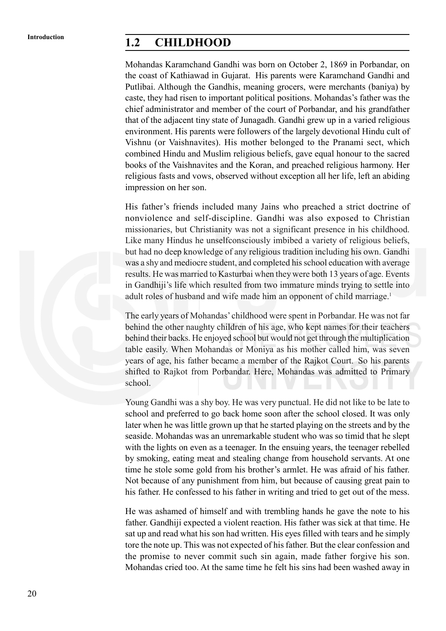## **Introduction 1.2 CHILDHOOD**

Mohandas Karamchand Gandhi was born on October 2, 1869 in Porbandar, on the coast of Kathiawad in Gujarat. His parents were Karamchand Gandhi and Putlibai. Although the Gandhis, meaning grocers, were merchants (baniya) by caste, they had risen to important political positions. Mohandas's father was the chief administrator and member of the court of Porbandar, and his grandfather that of the adjacent tiny state of Junagadh. Gandhi grew up in a varied religious environment. His parents were followers of the largely devotional Hindu cult of Vishnu (or Vaishnavites). His mother belonged to the Pranami sect, which combined Hindu and Muslim religious beliefs, gave equal honour to the sacred books of the Vaishnavites and the Koran, and preached religious harmony. Her religious fasts and vows, observed without exception all her life, left an abiding impression on her son.

His father's friends included many Jains who preached a strict doctrine of nonviolence and self-discipline. Gandhi was also exposed to Christian missionaries, but Christianity was not a significant presence in his childhood. Like many Hindus he unselfconsciously imbibed a variety of religious beliefs, but had no deep knowledge of any religious tradition including his own. Gandhi was a shy and mediocre student, and completed his school education with average results. He was married to Kasturbai when they were both 13 years of age. Events in Gandhiji's life which resulted from two immature minds trying to settle into adult roles of husband and wife made him an opponent of child marriage.<sup>1</sup>

The early years of Mohandas' childhood were spent in Porbandar. He was not far behind the other naughty children of his age, who kept names for their teachers behind their backs. He enjoyed school but would not get through the multiplication table easily. When Mohandas or Moniya as his mother called him, was seven years of age, his father became a member of the Rajkot Court. So his parents shifted to Rajkot from Porbandar. Here, Mohandas was admitted to Primary school.

Young Gandhi was a shy boy. He was very punctual. He did not like to be late to school and preferred to go back home soon after the school closed. It was only later when he was little grown up that he started playing on the streets and by the seaside. Mohandas was an unremarkable student who was so timid that he slept with the lights on even as a teenager. In the ensuing years, the teenager rebelled by smoking, eating meat and stealing change from household servants. At one time he stole some gold from his brother's armlet. He was afraid of his father. Not because of any punishment from him, but because of causing great pain to his father. He confessed to his father in writing and tried to get out of the mess.

He was ashamed of himself and with trembling hands he gave the note to his father. Gandhiji expected a violent reaction. His father was sick at that time. He sat up and read what his son had written. His eyes filled with tears and he simply tore the note up. This was not expected of his father. But the clear confession and the promise to never commit such sin again, made father forgive his son. Mohandas cried too. At the same time he felt his sins had been washed away in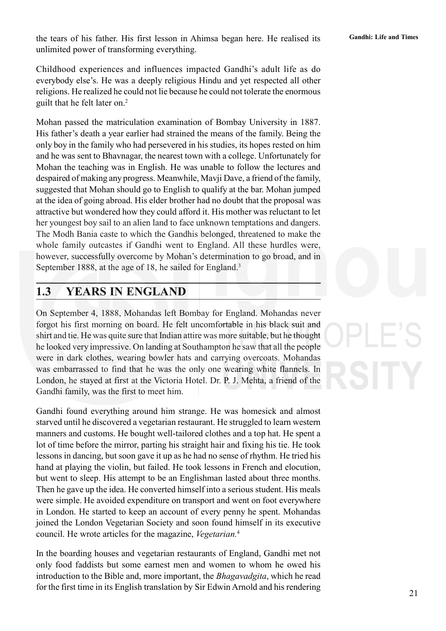**Gandhi: Life and Times** the tears of his father. His first lesson in Ahimsa began here. He realised its unlimited power of transforming everything.

Childhood experiences and influences impacted Gandhi's adult life as do everybody else's. He was a deeply religious Hindu and yet respected all other religions. He realized he could not lie because he could not tolerate the enormous guilt that he felt later on.2

Mohan passed the matriculation examination of Bombay University in 1887. His father's death a year earlier had strained the means of the family. Being the only boy in the family who had persevered in his studies, its hopes rested on him and he was sent to Bhavnagar, the nearest town with a college. Unfortunately for Mohan the teaching was in English. He was unable to follow the lectures and despaired of making any progress. Meanwhile, Mavji Dave, a friend of the family, suggested that Mohan should go to English to qualify at the bar. Mohan jumped at the idea of going abroad. His elder brother had no doubt that the proposal was attractive but wondered how they could afford it. His mother was reluctant to let her youngest boy sail to an alien land to face unknown temptations and dangers. The Modh Bania caste to which the Gandhis belonged, threatened to make the whole family outcastes if Gandhi went to England. All these hurdles were, however, successfully overcome by Mohan's determination to go broad, and in September 1888, at the age of 18, he sailed for England.<sup>3</sup>

## **1.3 YEARS IN ENGLAND**

On September 4, 1888, Mohandas left Bombay for England. Mohandas never forgot his first morning on board. He felt uncomfortable in his black suit and shirt and tie. He was quite sure that Indian attire was more suitable, but he thought he looked very impressive. On landing at Southampton he saw that all the people were in dark clothes, wearing bowler hats and carrying overcoats. Mohandas was embarrassed to find that he was the only one wearing white flannels. In London, he stayed at first at the Victoria Hotel. Dr. P. J. Mehta, a friend of the Gandhi family, was the first to meet him.

Gandhi found everything around him strange. He was homesick and almost starved until he discovered a vegetarian restaurant. He struggled to learn western manners and customs. He bought well-tailored clothes and a top hat. He spent a lot of time before the mirror, parting his straight hair and fixing his tie. He took lessons in dancing, but soon gave it up as he had no sense of rhythm. He tried his hand at playing the violin, but failed. He took lessons in French and elocution, but went to sleep. His attempt to be an Englishman lasted about three months. Then he gave up the idea. He converted himself into a serious student. His meals were simple. He avoided expenditure on transport and went on foot everywhere in London. He started to keep an account of every penny he spent. Mohandas joined the London Vegetarian Society and soon found himself in its executive council. He wrote articles for the magazine, *Vegetarian.*<sup>4</sup>

In the boarding houses and vegetarian restaurants of England, Gandhi met not only food faddists but some earnest men and women to whom he owed his introduction to the Bible and, more important, the *Bhagavadgita*, which he read for the first time in its English translation by Sir Edwin Arnold and his rendering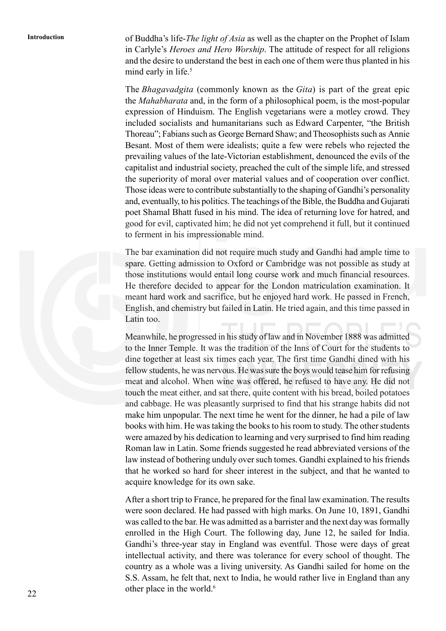**Introduction** of Buddha's life-*The light of Asia* as well as the chapter on the Prophet of Islam in Carlyle's *Heroes and Hero Worship*. The attitude of respect for all religions and the desire to understand the best in each one of them were thus planted in his mind early in life.<sup>5</sup>

> The *Bhagavadgita* (commonly known as the *Gita*) is part of the great epic the *Mahabharata* and, in the form of a philosophical poem, is the most-popular expression of Hinduism. The English vegetarians were a motley crowd. They included socialists and humanitarians such as Edward Carpenter, "the British Thoreau"; Fabians such as George Bernard Shaw; and Theosophists such as Annie Besant. Most of them were idealists; quite a few were rebels who rejected the prevailing values of the late-Victorian establishment, denounced the evils of the capitalist and industrial society, preached the cult of the simple life, and stressed the superiority of moral over material values and of cooperation over conflict. Those ideas were to contribute substantially to the shaping of Gandhi's personality and, eventually, to his politics. The teachings of the Bible, the Buddha and Gujarati poet Shamal Bhatt fused in his mind. The idea of returning love for hatred, and good for evil, captivated him; he did not yet comprehend it full, but it continued to ferment in his impressionable mind.

> The bar examination did not require much study and Gandhi had ample time to spare. Getting admission to Oxford or Cambridge was not possible as study at those institutions would entail long course work and much financial resources. He therefore decided to appear for the London matriculation examination. It meant hard work and sacrifice, but he enjoyed hard work. He passed in French, English, and chemistry but failed in Latin. He tried again, and this time passed in Latin too.

> Meanwhile, he progressed in his study of law and in November 1888 was admitted to the Inner Temple. It was the tradition of the Inns of Court for the students to dine together at least six times each year. The first time Gandhi dined with his fellow students, he was nervous. He was sure the boys would tease him for refusing meat and alcohol. When wine was offered, he refused to have any. He did not touch the meat either, and sat there, quite content with his bread, boiled potatoes and cabbage. He was pleasantly surprised to find that his strange habits did not make him unpopular. The next time he went for the dinner, he had a pile of law books with him. He was taking the books to his room to study. The other students were amazed by his dedication to learning and very surprised to find him reading Roman law in Latin. Some friends suggested he read abbreviated versions of the law instead of bothering unduly over such tomes. Gandhi explained to his friends that he worked so hard for sheer interest in the subject, and that he wanted to acquire knowledge for its own sake.

> After a short trip to France, he prepared for the final law examination. The results were soon declared. He had passed with high marks. On June 10, 1891, Gandhi was called to the bar. He was admitted as a barrister and the next day was formally enrolled in the High Court. The following day, June 12, he sailed for India. Gandhi's three-year stay in England was eventful. Those were days of great intellectual activity, and there was tolerance for every school of thought. The country as a whole was a living university. As Gandhi sailed for home on the S.S. Assam, he felt that, next to India, he would rather live in England than any other place in the world.<sup>6</sup>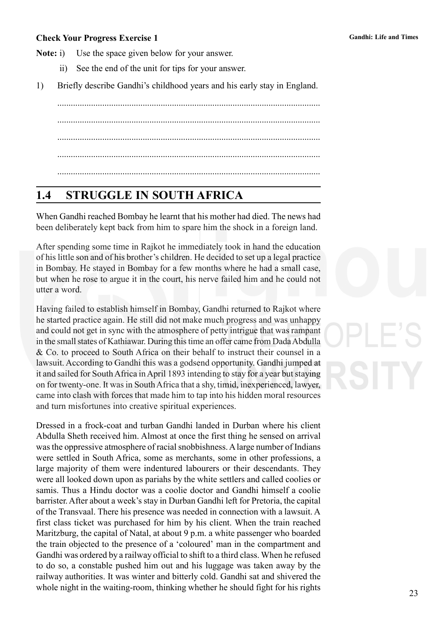## **Check Your Progress Exercise 1 Gandhi:** Life and Times

- **Note:** i) Use the space given below for your answer.
	- ii) See the end of the unit for tips for your answer.
- 1) Briefly describe Gandhi's childhood years and his early stay in England.

..................................................................................................................... ..................................................................................................................... ..................................................................................................................... ..................................................................................................................... .....................................................................................................................

## **1.4 STRUGGLE IN SOUTH AFRICA**

When Gandhi reached Bombay he learnt that his mother had died. The news had been deliberately kept back from him to spare him the shock in a foreign land.

After spending some time in Rajkot he immediately took in hand the education of his little son and of his brother's children. He decided to set up a legal practice in Bombay. He stayed in Bombay for a few months where he had a small case, but when he rose to argue it in the court, his nerve failed him and he could not utter a word.

Having failed to establish himself in Bombay, Gandhi returned to Rajkot where he started practice again. He still did not make much progress and was unhappy and could not get in sync with the atmosphere of petty intrigue that was rampant in the small states of Kathiawar. During this time an offer came from Dada Abdulla & Co. to proceed to South Africa on their behalf to instruct their counsel in a lawsuit. According to Gandhi this was a godsend opportunity. Gandhi jumped at it and sailed for South Africa in April 1893 intending to stay for a year but staying on for twenty-one. It was in South Africa that a shy, timid, inexperienced, lawyer, came into clash with forces that made him to tap into his hidden moral resources and turn misfortunes into creative spiritual experiences.

Dressed in a frock-coat and turban Gandhi landed in Durban where his client Abdulla Sheth received him. Almost at once the first thing he sensed on arrival was the oppressive atmosphere of racial snobbishness. A large number of Indians were settled in South Africa, some as merchants, some in other professions, a large majority of them were indentured labourers or their descendants. They were all looked down upon as pariahs by the white settlers and called coolies or samis. Thus a Hindu doctor was a coolie doctor and Gandhi himself a coolie barrister. After about a week's stay in Durban Gandhi left for Pretoria, the capital of the Transvaal. There his presence was needed in connection with a lawsuit. A first class ticket was purchased for him by his client. When the train reached Maritzburg, the capital of Natal, at about 9 p.m. a white passenger who boarded the train objected to the presence of a 'coloured' man in the compartment and Gandhi was ordered by a railway official to shift to a third class. When he refused to do so, a constable pushed him out and his luggage was taken away by the railway authorities. It was winter and bitterly cold. Gandhi sat and shivered the whole night in the waiting-room, thinking whether he should fight for his rights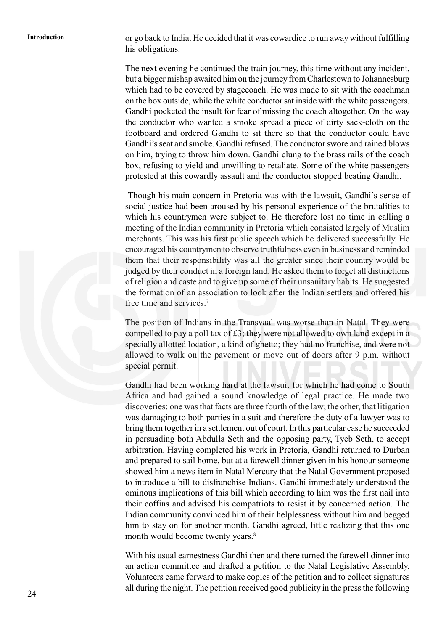**Introduction** or go back to India. He decided that it was cowardice to run away without fulfilling his obligations.

> The next evening he continued the train journey, this time without any incident, but a bigger mishap awaited him on the journey from Charlestown to Johannesburg which had to be covered by stagecoach. He was made to sit with the coachman on the box outside, while the white conductor sat inside with the white passengers. Gandhi pocketed the insult for fear of missing the coach altogether. On the way the conductor who wanted a smoke spread a piece of dirty sack-cloth on the footboard and ordered Gandhi to sit there so that the conductor could have Gandhi's seat and smoke. Gandhi refused. The conductor swore and rained blows on him, trying to throw him down. Gandhi clung to the brass rails of the coach box, refusing to yield and unwilling to retaliate. Some of the white passengers protested at this cowardly assault and the conductor stopped beating Gandhi.

> Though his main concern in Pretoria was with the lawsuit, Gandhi's sense of social justice had been aroused by his personal experience of the brutalities to which his countrymen were subject to. He therefore lost no time in calling a meeting of the Indian community in Pretoria which consisted largely of Muslim merchants. This was his first public speech which he delivered successfully. He encouraged his countrymen to observe truthfulness even in business and reminded them that their responsibility was all the greater since their country would be judged by their conduct in a foreign land. He asked them to forget all distinctions of religion and caste and to give up some of their unsanitary habits. He suggested the formation of an association to look after the Indian settlers and offered his free time and services<sup>7</sup>

> The position of Indians in the Transvaal was worse than in Natal. They were compelled to pay a poll tax of  $\pounds 3$ ; they were not allowed to own land except in a specially allotted location, a kind of ghetto; they had no franchise, and were not allowed to walk on the pavement or move out of doors after 9 p.m. without special permit.

> Gandhi had been working hard at the lawsuit for which he had come to South Africa and had gained a sound knowledge of legal practice. He made two discoveries: one was that facts are three fourth of the law; the other, that litigation was damaging to both parties in a suit and therefore the duty of a lawyer was to bring them together in a settlement out of court. In this particular case he succeeded in persuading both Abdulla Seth and the opposing party, Tyeb Seth, to accept arbitration. Having completed his work in Pretoria, Gandhi returned to Durban and prepared to sail home, but at a farewell dinner given in his honour someone showed him a news item in Natal Mercury that the Natal Government proposed to introduce a bill to disfranchise Indians. Gandhi immediately understood the ominous implications of this bill which according to him was the first nail into their coffins and advised his compatriots to resist it by concerned action. The Indian community convinced him of their helplessness without him and begged him to stay on for another month. Gandhi agreed, little realizing that this one month would become twenty years.<sup>8</sup>

With his usual earnestness Gandhi then and there turned the farewell dinner into an action committee and drafted a petition to the Natal Legislative Assembly. Volunteers came forward to make copies of the petition and to collect signatures all during the night. The petition received good publicity in the press the following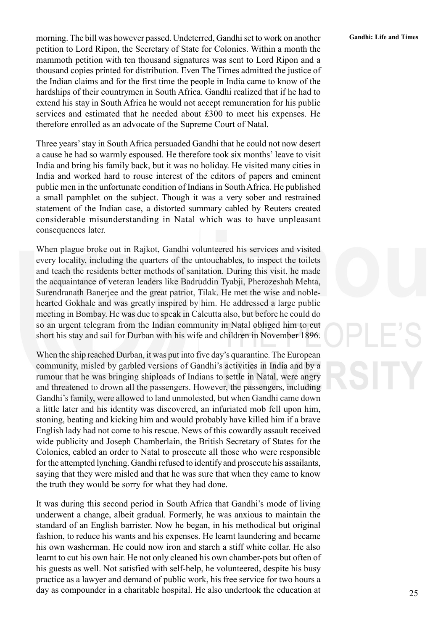morning. The bill was however passed. Undeterred, Gandhi set to work on another **Gandhi: Life and Times** petition to Lord Ripon, the Secretary of State for Colonies. Within a month the mammoth petition with ten thousand signatures was sent to Lord Ripon and a thousand copies printed for distribution. Even The Times admitted the justice of the Indian claims and for the first time the people in India came to know of the hardships of their countrymen in South Africa. Gandhi realized that if he had to extend his stay in South Africa he would not accept remuneration for his public services and estimated that he needed about £300 to meet his expenses. He therefore enrolled as an advocate of the Supreme Court of Natal.

Three years' stay in South Africa persuaded Gandhi that he could not now desert a cause he had so warmly espoused. He therefore took six months' leave to visit India and bring his family back, but it was no holiday. He visited many cities in India and worked hard to rouse interest of the editors of papers and eminent public men in the unfortunate condition of Indians in South Africa. He published a small pamphlet on the subject. Though it was a very sober and restrained statement of the Indian case, a distorted summary cabled by Reuters created considerable misunderstanding in Natal which was to have unpleasant consequences later.

When plague broke out in Rajkot, Gandhi volunteered his services and visited every locality, including the quarters of the untouchables, to inspect the toilets and teach the residents better methods of sanitation. During this visit, he made the acquaintance of veteran leaders like Badruddin Tyabji, Pherozeshah Mehta, Surendranath Banerjee and the great patriot, Tilak. He met the wise and noblehearted Gokhale and was greatly inspired by him. He addressed a large public meeting in Bombay. He was due to speak in Calcutta also, but before he could do so an urgent telegram from the Indian community in Natal obliged him to cut short his stay and sail for Durban with his wife and children in November 1896.

When the ship reached Durban, it was put into five day's quarantine. The European community, misled by garbled versions of Gandhi's activities in India and by a rumour that he was bringing shiploads of Indians to settle in Natal, were angry and threatened to drown all the passengers. However, the passengers, including Gandhi's family, were allowed to land unmolested, but when Gandhi came down a little later and his identity was discovered, an infuriated mob fell upon him, stoning, beating and kicking him and would probably have killed him if a brave English lady had not come to his rescue. News of this cowardly assault received wide publicity and Joseph Chamberlain, the British Secretary of States for the Colonies, cabled an order to Natal to prosecute all those who were responsible for the attempted lynching. Gandhi refused to identify and prosecute his assailants, saying that they were misled and that he was sure that when they came to know the truth they would be sorry for what they had done.

It was during this second period in South Africa that Gandhi's mode of living underwent a change, albeit gradual. Formerly, he was anxious to maintain the standard of an English barrister. Now he began, in his methodical but original fashion, to reduce his wants and his expenses. He learnt laundering and became his own washerman. He could now iron and starch a stiff white collar. He also learnt to cut his own hair. He not only cleaned his own chamber-pots but often of his guests as well. Not satisfied with self-help, he volunteered, despite his busy practice as a lawyer and demand of public work, his free service for two hours a day as compounder in a charitable hospital. He also undertook the education at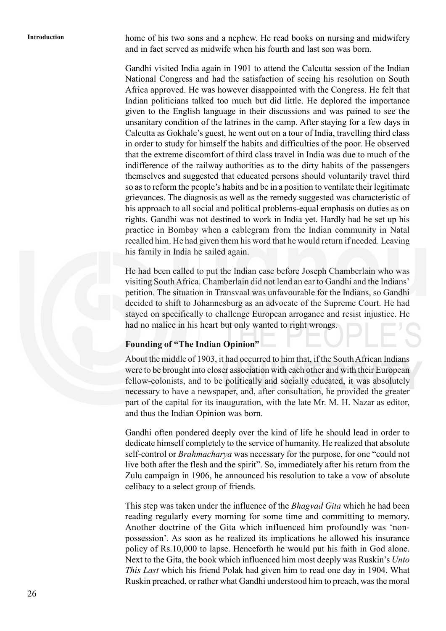**Introduction** home of his two sons and a nephew. He read books on nursing and midwifery and in fact served as midwife when his fourth and last son was born.

> Gandhi visited India again in 1901 to attend the Calcutta session of the Indian National Congress and had the satisfaction of seeing his resolution on South Africa approved. He was however disappointed with the Congress. He felt that Indian politicians talked too much but did little. He deplored the importance given to the English language in their discussions and was pained to see the unsanitary condition of the latrines in the camp. After staying for a few days in Calcutta as Gokhale's guest, he went out on a tour of India, travelling third class in order to study for himself the habits and difficulties of the poor. He observed that the extreme discomfort of third class travel in India was due to much of the indifference of the railway authorities as to the dirty habits of the passengers themselves and suggested that educated persons should voluntarily travel third so as to reform the people's habits and be in a position to ventilate their legitimate grievances. The diagnosis as well as the remedy suggested was characteristic of his approach to all social and political problems-equal emphasis on duties as on rights. Gandhi was not destined to work in India yet. Hardly had he set up his practice in Bombay when a cablegram from the Indian community in Natal recalled him. He had given them his word that he would return if needed. Leaving his family in India he sailed again.

> He had been called to put the Indian case before Joseph Chamberlain who was visiting South Africa. Chamberlain did not lend an ear to Gandhi and the Indians' petition. The situation in Transvaal was unfavourable for the Indians, so Gandhi decided to shift to Johannesburg as an advocate of the Supreme Court. He had stayed on specifically to challenge European arrogance and resist injustice. He had no malice in his heart but only wanted to right wrongs.

## **Founding of "The Indian Opinion"**

About the middle of 1903, it had occurred to him that, if the South African Indians were to be brought into closer association with each other and with their European fellow-colonists, and to be politically and socially educated, it was absolutely necessary to have a newspaper, and, after consultation, he provided the greater part of the capital for its inauguration, with the late Mr. M. H. Nazar as editor, and thus the Indian Opinion was born.

Gandhi often pondered deeply over the kind of life he should lead in order to dedicate himself completely to the service of humanity. He realized that absolute self-control or *Brahmacharya* was necessary for the purpose, for one "could not live both after the flesh and the spirit". So, immediately after his return from the Zulu campaign in 1906, he announced his resolution to take a vow of absolute celibacy to a select group of friends.

This step was taken under the influence of the *Bhagvad Gita* which he had been reading regularly every morning for some time and committing to memory. Another doctrine of the Gita which influenced him profoundly was 'nonpossession'. As soon as he realized its implications he allowed his insurance policy of Rs.10,000 to lapse. Henceforth he would put his faith in God alone. Next to the Gita, the book which influenced him most deeply was Ruskin's *Unto This Last* which his friend Polak had given him to read one day in 1904. What Ruskin preached, or rather what Gandhi understood him to preach, was the moral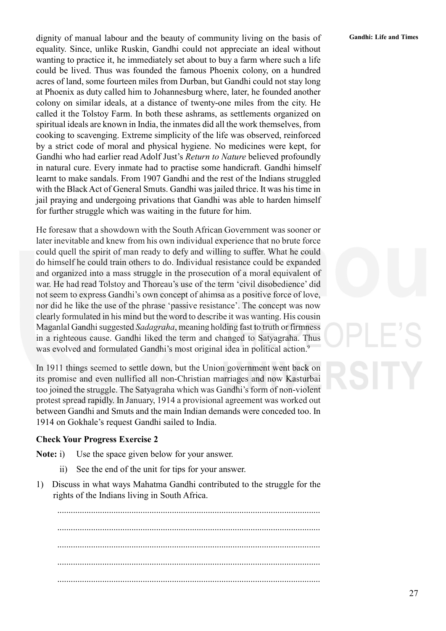dignity of manual labour and the beauty of community living on the basis of **Gandhi:** Life and Times equality. Since, unlike Ruskin, Gandhi could not appreciate an ideal without wanting to practice it, he immediately set about to buy a farm where such a life could be lived. Thus was founded the famous Phoenix colony, on a hundred acres of land, some fourteen miles from Durban, but Gandhi could not stay long at Phoenix as duty called him to Johannesburg where, later, he founded another colony on similar ideals, at a distance of twenty-one miles from the city. He called it the Tolstoy Farm. In both these ashrams, as settlements organized on spiritual ideals are known in India, the inmates did all the work themselves, from cooking to scavenging. Extreme simplicity of the life was observed, reinforced by a strict code of moral and physical hygiene. No medicines were kept, for Gandhi who had earlier read Adolf Just's *Return to Nature* believed profoundly in natural cure. Every inmate had to practise some handicraft. Gandhi himself learnt to make sandals. From 1907 Gandhi and the rest of the Indians struggled with the Black Act of General Smuts. Gandhi was jailed thrice. It was his time in jail praying and undergoing privations that Gandhi was able to harden himself for further struggle which was waiting in the future for him.

He foresaw that a showdown with the South African Government was sooner or later inevitable and knew from his own individual experience that no brute force could quell the spirit of man ready to defy and willing to suffer. What he could do himself he could train others to do. Individual resistance could be expanded and organized into a mass struggle in the prosecution of a moral equivalent of war. He had read Tolstoy and Thoreau's use of the term 'civil disobedience' did not seem to express Gandhi's own concept of ahimsa as a positive force of love, nor did he like the use of the phrase 'passive resistance'. The concept was now clearly formulated in his mind but the word to describe it was wanting. His cousin Maganlal Gandhi suggested *Sadagraha*, meaning holding fast to truth or firmness in a righteous cause. Gandhi liked the term and changed to Satyagraha. Thus was evolved and formulated Gandhi's most original idea in political action.<sup>9</sup>

In 1911 things seemed to settle down, but the Union government went back on its promise and even nullified all non-Christian marriages and now Kasturbai too joined the struggle. The Satyagraha which was Gandhi's form of non-violent protest spread rapidly. In January, 1914 a provisional agreement was worked out between Gandhi and Smuts and the main Indian demands were conceded too. In 1914 on Gokhale's request Gandhi sailed to India.

## **Check Your Progress Exercise 2**

- **Note:** i) Use the space given below for your answer.
	- ii) See the end of the unit for tips for your answer.
- 1) Discuss in what ways Mahatma Gandhi contributed to the struggle for the rights of the Indians living in South Africa.

..................................................................................................................... ..................................................................................................................... ..................................................................................................................... ..................................................................................................................... .....................................................................................................................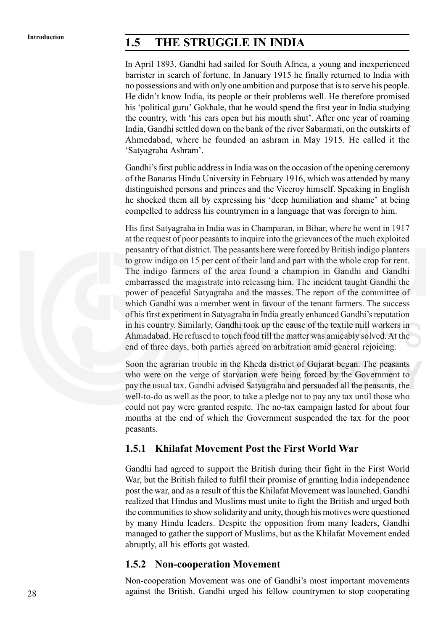## **Introduction 1.5 THE STRUGGLE IN INDIA**

In April 1893, Gandhi had sailed for South Africa, a young and inexperienced barrister in search of fortune. In January 1915 he finally returned to India with no possessions and with only one ambition and purpose that is to serve his people. He didn't know India, its people or their problems well. He therefore promised his 'political guru' Gokhale, that he would spend the first year in India studying the country, with 'his ears open but his mouth shut'. After one year of roaming India, Gandhi settled down on the bank of the river Sabarmati, on the outskirts of Ahmedabad, where he founded an ashram in May 1915. He called it the 'Satyagraha Ashram'.

Gandhi's first public address in India was on the occasion of the opening ceremony of the Banaras Hindu University in February 1916, which was attended by many distinguished persons and princes and the Viceroy himself. Speaking in English he shocked them all by expressing his 'deep humiliation and shame' at being compelled to address his countrymen in a language that was foreign to him.

His first Satyagraha in India was in Champaran, in Bihar, where he went in 1917 at the request of poor peasants to inquire into the grievances of the much exploited peasantry of that district. The peasants here were forced by British indigo planters to grow indigo on 15 per cent of their land and part with the whole crop for rent. The indigo farmers of the area found a champion in Gandhi and Gandhi embarrassed the magistrate into releasing him. The incident taught Gandhi the power of peaceful Satyagraha and the masses. The report of the committee of which Gandhi was a member went in favour of the tenant farmers. The success of his first experiment in Satyagraha in India greatly enhanced Gandhi's reputation in his country. Similarly, Gandhi took up the cause of the textile mill workers in Ahmadabad. He refused to touch food till the matter was amicably solved. At the end of three days, both parties agreed on arbitration amid general rejoicing.

Soon the agrarian trouble in the Kheda district of Gujarat began. The peasants who were on the verge of starvation were being forced by the Government to pay the usual tax. Gandhi advised Satyagraha and persuaded all the peasants, the well-to-do as well as the poor, to take a pledge not to pay any tax until those who could not pay were granted respite. The no-tax campaign lasted for about four months at the end of which the Government suspended the tax for the poor peasants.

## **1.5.1 Khilafat Movement Post the First World War**

Gandhi had agreed to support the British during their fight in the First World War, but the British failed to fulfil their promise of granting India independence post the war, and as a result of this the Khilafat Movement was launched. Gandhi realized that Hindus and Muslims must unite to fight the British and urged both the communities to show solidarity and unity, though his motives were questioned by many Hindu leaders. Despite the opposition from many leaders, Gandhi managed to gather the support of Muslims, but as the Khilafat Movement ended abruptly, all his efforts got wasted.

## **1.5.2 Non-cooperation Movement**

Non-cooperation Movement was one of Gandhi's most important movements against the British. Gandhi urged his fellow countrymen to stop cooperating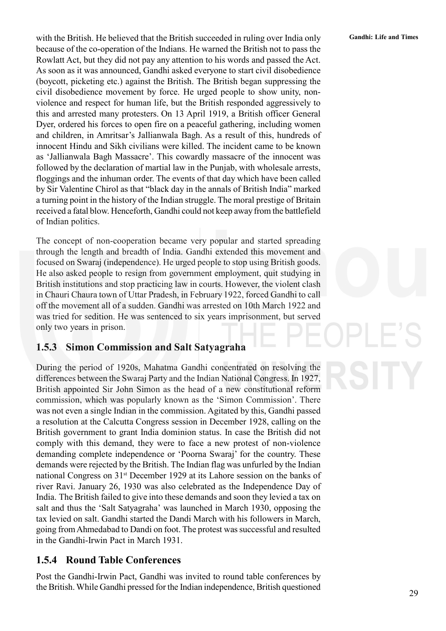with the British. He believed that the British succeeded in ruling over India only **Gandhi:** Life and Times because of the co-operation of the Indians. He warned the British not to pass the Rowlatt Act, but they did not pay any attention to his words and passed the Act. As soon as it was announced, Gandhi asked everyone to start civil disobedience (boycott, picketing etc.) against the British. The British began suppressing the civil disobedience movement by force. He urged people to show unity, nonviolence and respect for human life, but the British responded aggressively to this and arrested many protesters. On 13 April 1919, a British officer General Dyer, ordered his forces to open fire on a peaceful gathering, including women and children, in Amritsar's Jallianwala Bagh. As a result of this, hundreds of innocent Hindu and Sikh civilians were killed. The incident came to be known as 'Jallianwala Bagh Massacre'. This cowardly massacre of the innocent was followed by the declaration of martial law in the Punjab, with wholesale arrests, floggings and the inhuman order. The events of that day which have been called by Sir Valentine Chirol as that "black day in the annals of British India" marked a turning point in the history of the Indian struggle. The moral prestige of Britain received a fatal blow. Henceforth, Gandhi could not keep away from the battlefield of Indian politics.

The concept of non-cooperation became very popular and started spreading through the length and breadth of India. Gandhi extended this movement and focused on Swaraj (independence). He urged people to stop using British goods. He also asked people to resign from government employment, quit studying in British institutions and stop practicing law in courts. However, the violent clash in Chauri Chaura town of Uttar Pradesh, in February 1922, forced Gandhi to call off the movement all of a sudden. Gandhi was arrested on 10th March 1922 and was tried for sedition. He was sentenced to six years imprisonment, but served only two years in prison.

## **1.5.3 Simon Commission and Salt Satyagraha**

During the period of 1920s, Mahatma Gandhi concentrated on resolving the differences between the Swaraj Party and the Indian National Congress. In 1927, British appointed Sir John Simon as the head of a new constitutional reform commission, which was popularly known as the 'Simon Commission'. There was not even a single Indian in the commission. Agitated by this, Gandhi passed a resolution at the Calcutta Congress session in December 1928, calling on the British government to grant India dominion status. In case the British did not comply with this demand, they were to face a new protest of non-violence demanding complete independence or 'Poorna Swaraj' for the country. These demands were rejected by the British. The Indian flag was unfurled by the Indian national Congress on 31st December 1929 at its Lahore session on the banks of river Ravi. January 26, 1930 was also celebrated as the Independence Day of India. The British failed to give into these demands and soon they levied a tax on salt and thus the 'Salt Satyagraha' was launched in March 1930, opposing the tax levied on salt. Gandhi started the Dandi March with his followers in March, going from Ahmedabad to Dandi on foot. The protest was successful and resulted in the Gandhi-Irwin Pact in March 1931.

## **1.5.4 Round Table Conferences**

Post the Gandhi-Irwin Pact, Gandhi was invited to round table conferences by the British. While Gandhi pressed for the Indian independence, British questioned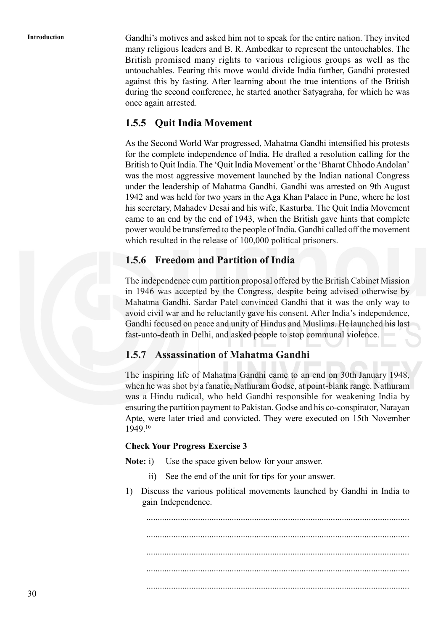**Introduction** Gandhi's motives and asked him not to speak for the entire nation. They invited many religious leaders and B. R. Ambedkar to represent the untouchables. The British promised many rights to various religious groups as well as the untouchables. Fearing this move would divide India further, Gandhi protested against this by fasting. After learning about the true intentions of the British during the second conference, he started another Satyagraha, for which he was once again arrested.

## **1.5.5 Quit India Movement**

As the Second World War progressed, Mahatma Gandhi intensified his protests for the complete independence of India. He drafted a resolution calling for the British to Quit India. The 'Quit India Movement' or the 'Bharat Chhodo Andolan' was the most aggressive movement launched by the Indian national Congress under the leadership of Mahatma Gandhi. Gandhi was arrested on 9th August 1942 and was held for two years in the Aga Khan Palace in Pune, where he lost his secretary, Mahadev Desai and his wife, Kasturba. The Quit India Movement came to an end by the end of 1943, when the British gave hints that complete power would be transferred to the people of India. Gandhi called off the movement which resulted in the release of 100,000 political prisoners.

## **1.5.6 Freedom and Partition of India**

The independence cum partition proposal offered by the British Cabinet Mission in 1946 was accepted by the Congress, despite being advised otherwise by Mahatma Gandhi. Sardar Patel convinced Gandhi that it was the only way to avoid civil war and he reluctantly gave his consent. After India's independence, Gandhi focused on peace and unity of Hindus and Muslims. He launched his last fast-unto-death in Delhi, and asked people to stop communal violence.

## **1.5.7 Assassination of Mahatma Gandhi**

The inspiring life of Mahatma Gandhi came to an end on 30th January 1948, when he was shot by a fanatic, Nathuram Godse, at point-blank range. Nathuram was a Hindu radical, who held Gandhi responsible for weakening India by ensuring the partition payment to Pakistan. Godse and his co-conspirator, Narayan Apte, were later tried and convicted. They were executed on 15th November 1949.10

## **Check Your Progress Exercise 3**

**Note:** i) Use the space given below for your answer.

- ii) See the end of the unit for tips for your answer.
- 1) Discuss the various political movements launched by Gandhi in India to gain Independence.

..................................................................................................................... ..................................................................................................................... ..................................................................................................................... .....................................................................................................................

.....................................................................................................................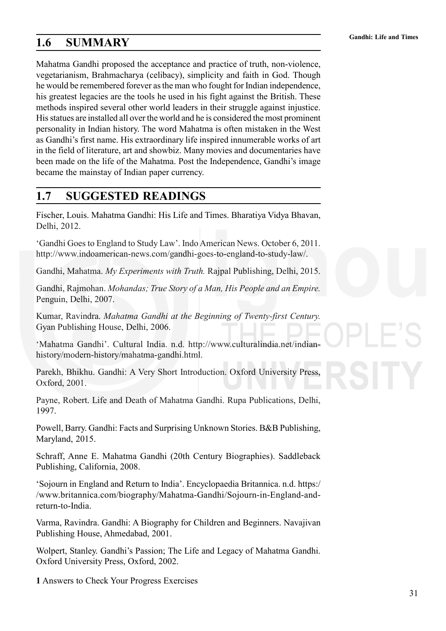## **Gandhi: Life and Times 1.6 SUMMARY**

Mahatma Gandhi proposed the acceptance and practice of truth, non-violence, vegetarianism, Brahmacharya (celibacy), simplicity and faith in God. Though he would be remembered forever as the man who fought for Indian independence, his greatest legacies are the tools he used in his fight against the British. These methods inspired several other world leaders in their struggle against injustice. His statues are installed all over the world and he is considered the most prominent personality in Indian history. The word Mahatma is often mistaken in the West as Gandhi's first name. His extraordinary life inspired innumerable works of art in the field of literature, art and showbiz. Many movies and documentaries have been made on the life of the Mahatma. Post the Independence, Gandhi's image became the mainstay of Indian paper currency.

## **1.7 SUGGESTED READINGS**

Fischer, Louis. Mahatma Gandhi: His Life and Times. Bharatiya Vidya Bhavan, Delhi, 2012.

'Gandhi Goes to England to Study Law'. Indo American News. October 6, 2011. http://www.indoamerican-news.com/gandhi-goes-to-england-to-study-law/.

Gandhi, Mahatma. *My Experiments with Truth.* Rajpal Publishing, Delhi, 2015.

Gandhi, Rajmohan. *Mohandas; True Story of a Man, His People and an Empire.* Penguin, Delhi, 2007.

Kumar, Ravindra. *Mahatma Gandhi at the Beginning of Twenty-first Century.* Gyan Publishing House, Delhi, 2006.

'Mahatma Gandhi'. Cultural India. n.d. http://www.culturalindia.net/indianhistory/modern-history/mahatma-gandhi.html.

Parekh, Bhikhu. Gandhi: A Very Short Introduction. Oxford University Press, Oxford, 2001.

Payne, Robert. Life and Death of Mahatma Gandhi. Rupa Publications, Delhi, 1997.

Powell, Barry. Gandhi: Facts and Surprising Unknown Stories. B&B Publishing, Maryland, 2015.

Schraff, Anne E. Mahatma Gandhi (20th Century Biographies). Saddleback Publishing, California, 2008.

'Sojourn in England and Return to India'. Encyclopaedia Britannica. n.d. https:/ /www.britannica.com/biography/Mahatma-Gandhi/Sojourn-in-England-andreturn-to-India.

Varma, Ravindra. Gandhi: A Biography for Children and Beginners. Navajivan Publishing House, Ahmedabad, 2001.

Wolpert, Stanley. Gandhi's Passion; The Life and Legacy of Mahatma Gandhi. Oxford University Press, Oxford, 2002.

**1** Answers to Check Your Progress Exercises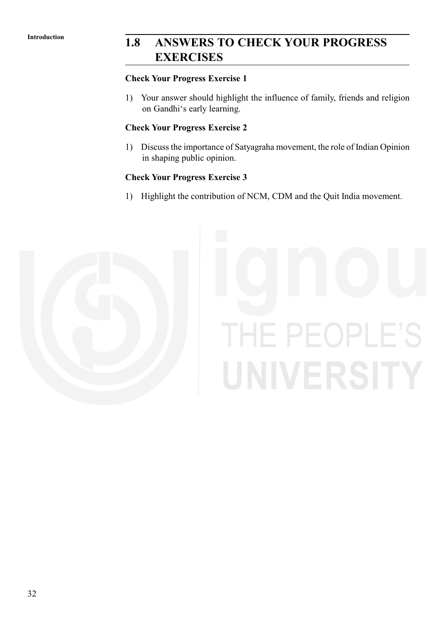## **Introduction 1.8 ANSWERS TO CHECK YOUR PROGRESS EXERCISES**

## **Check Your Progress Exercise 1**

1) Your answer should highlight the influence of family, friends and religion on Gandhi's early learning.

## **Check Your Progress Exercise 2**

1) Discuss the importance of Satyagraha movement, the role of Indian Opinion in shaping public opinion.

## **Check Your Progress Exercise 3**

1) Highlight the contribution of NCM, CDM and the Quit India movement.



# IE PEOPLE'S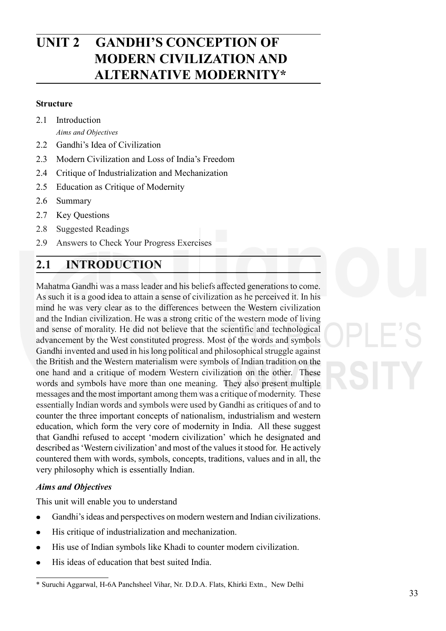## **UNIT 2 GANDHI'S CONCEPTION OF MODERN CIVILIZATION AND ALTERNATIVE MODERNITY\***

## **Structure**

- 2.1 Introduction *Aims and Objectives*
- 2.2 Gandhi's Idea of Civilization
- 2.3 Modern Civilization and Loss of India's Freedom
- 2.4 Critique of Industrialization and Mechanization
- 2.5 Education as Critique of Modernity
- 2.6 Summary
- 2.7 Key Questions
- 2.8 Suggested Readings
- 2.9 Answers to Check Your Progress Exercises

## **2.1 INTRODUCTION**

Mahatma Gandhi was a mass leader and his beliefs affected generations to come. As such it is a good idea to attain a sense of civilization as he perceived it. In his mind he was very clear as to the differences between the Western civilization and the Indian civilization. He was a strong critic of the western mode of living and sense of morality. He did not believe that the scientific and technological advancement by the West constituted progress. Most of the words and symbols Gandhi invented and used in his long political and philosophical struggle against the British and the Western materialism were symbols of Indian tradition on the one hand and a critique of modern Western civilization on the other. These words and symbols have more than one meaning. They also present multiple messages and the most important among them was a critique of modernity. These essentially Indian words and symbols were used by Gandhi as critiques of and to counter the three important concepts of nationalism, industrialism and western education, which form the very core of modernity in India. All these suggest that Gandhi refused to accept 'modern civilization' which he designated and described as 'Western civilization' and most of the values it stood for. He actively countered them with words, symbols, concepts, traditions, values and in all, the very philosophy which is essentially Indian.

## *Aims and Objectives*

This unit will enable you to understand

- Gandhi's ideas and perspectives on modern western and Indian civilizations.  $\bullet$
- His critique of industrialization and mechanization.
- His use of Indian symbols like Khadi to counter modern civilization.
- His ideas of education that best suited India.  $\bullet$

<sup>\*</sup> Suruchi Aggarwal, H-6A Panchsheel Vihar, Nr. D.D.A. Flats, Khirki Extn., New Delhi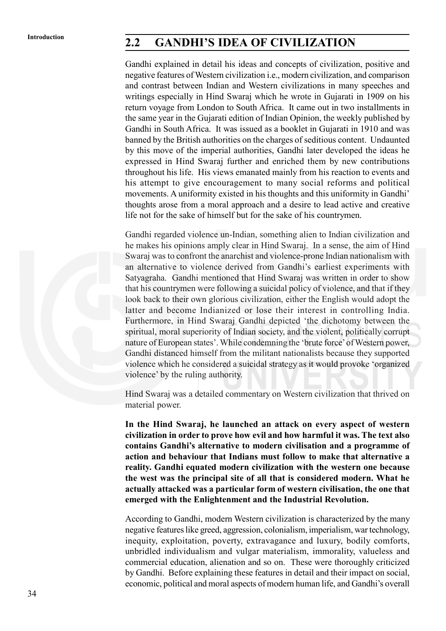## Introduction **2.2 GANDHI'S IDEA OF CIVILIZATION**

Gandhi explained in detail his ideas and concepts of civilization, positive and negative features of Western civilization i.e., modern civilization, and comparison and contrast between Indian and Western civilizations in many speeches and writings especially in Hind Swaraj which he wrote in Gujarati in 1909 on his return voyage from London to South Africa. It came out in two installments in the same year in the Gujarati edition of Indian Opinion, the weekly published by Gandhi in South Africa. It was issued as a booklet in Gujarati in 1910 and was banned by the British authorities on the charges of seditious content. Undaunted by this move of the imperial authorities, Gandhi later developed the ideas he expressed in Hind Swaraj further and enriched them by new contributions throughout his life. His views emanated mainly from his reaction to events and his attempt to give encouragement to many social reforms and political movements. A uniformity existed in his thoughts and this uniformity in Gandhi' thoughts arose from a moral approach and a desire to lead active and creative life not for the sake of himself but for the sake of his countrymen.

Gandhi regarded violence un-Indian, something alien to Indian civilization and he makes his opinions amply clear in Hind Swaraj. In a sense, the aim of Hind Swaraj was to confront the anarchist and violence-prone Indian nationalism with an alternative to violence derived from Gandhi's earliest experiments with Satyagraha. Gandhi mentioned that Hind Swaraj was written in order to show that his countrymen were following a suicidal policy of violence, and that if they look back to their own glorious civilization, either the English would adopt the latter and become Indianized or lose their interest in controlling India. Furthermore, in Hind Swaraj Gandhi depicted 'the dichotomy between the spiritual, moral superiority of Indian society, and the violent, politically corrupt nature of European states'. While condemning the 'brute force' of Western power, Gandhi distanced himself from the militant nationalists because they supported violence which he considered a suicidal strategy as it would provoke 'organized violence' by the ruling authority.

Hind Swaraj was a detailed commentary on Western civilization that thrived on material power.

**In the Hind Swaraj, he launched an attack on every aspect of western civilization in order to prove how evil and how harmful it was. The text also contains Gandhi's alternative to modern civilisation and a programme of action and behaviour that Indians must follow to make that alternative a reality. Gandhi equated modern civilization with the western one because the west was the principal site of all that is considered modern. What he actually attacked was a particular form of western civilisation, the one that emerged with the Enlightenment and the Industrial Revolution.**

According to Gandhi, modern Western civilization is characterized by the many negative features like greed, aggression, colonialism, imperialism, war technology, inequity, exploitation, poverty, extravagance and luxury, bodily comforts, unbridled individualism and vulgar materialism, immorality, valueless and commercial education, alienation and so on. These were thoroughly criticized by Gandhi. Before explaining these features in detail and their impact on social, economic, political and moral aspects of modern human life, and Gandhi's overall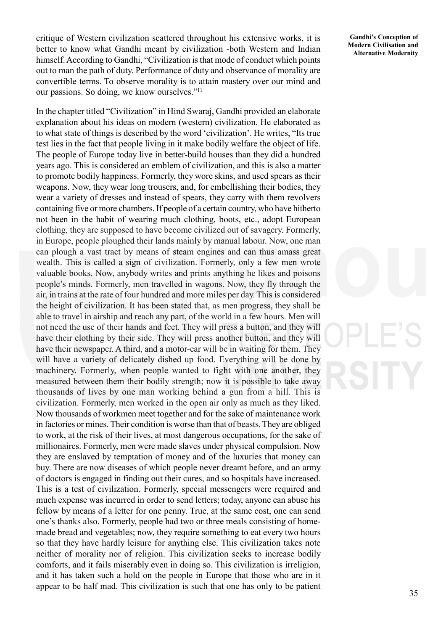critique of Western civilization scattered throughout his extensive works, it is better to know what Gandhi meant by civilization -both Western and Indian himself. According to Gandhi, "Civilization is that mode of conduct which points out to man the path of duty. Performance of duty and observance of morality are convertible terms. To observe morality is to attain mastery over our mind and our passions. So doing, we know ourselves."11

In the chapter titled "Civilization" in Hind Swaraj, Gandhi provided an elaborate explanation about his ideas on modern (western) civilization. He elaborated as to what state of things is described by the word 'civilization'. He writes, "Its true test lies in the fact that people living in it make bodily welfare the object of life. The people of Europe today live in better-build houses than they did a hundred years ago. This is considered an emblem of civilization, and this is also a matter to promote bodily happiness. Formerly, they wore skins, and used spears as their weapons. Now, they wear long trousers, and, for embellishing their bodies, they wear a variety of dresses and instead of spears, they carry with them revolvers containing five or more chambers. If people of a certain country, who have hitherto not been in the habit of wearing much clothing, boots, etc., adopt European clothing, they are supposed to have become civilized out of savagery. Formerly, in Europe, people ploughed their lands mainly by manual labour. Now, one man can plough a vast tract by means of steam engines and can thus amass great wealth. This is called a sign of civilization. Formerly, only a few men wrote valuable books. Now, anybody writes and prints anything he likes and poisons people's minds. Formerly, men travelled in wagons. Now, they fly through the air, in trains at the rate of four hundred and more miles per day. This is considered the height of civilization. It has been stated that, as men progress, they shall be able to travel in airship and reach any part, of the world in a few hours. Men will not need the use of their hands and feet. They will press a button, and they will have their clothing by their side. They will press another button, and they will have their newspaper. A third, and a motor-car will be in waiting for them. They will have a variety of delicately dished up food. Everything will be done by machinery. Formerly, when people wanted to fight with one another, they measured between them their bodily strength; now it is possible to take away thousands of lives by one man working behind a gun from a hill. This is civilization. Formerly, men worked in the open air only as much as they liked. Now thousands of workmen meet together and for the sake of maintenance work in factories or mines. Their condition is worse than that of beasts. They are obliged to work, at the risk of their lives, at most dangerous occupations, for the sake of millionaires. Formerly, men were made slaves under physical compulsion. Now they are enslaved by temptation of money and of the luxuries that money can buy. There are now diseases of which people never dreamt before, and an army of doctors is engaged in finding out their cures, and so hospitals have increased. This is a test of civilization. Formerly, special messengers were required and much expense was incurred in order to send letters; today, anyone can abuse his fellow by means of a letter for one penny. True, at the same cost, one can send one's thanks also. Formerly, people had two or three meals consisting of homemade bread and vegetables; now, they require something to eat every two hours so that they have hardly leisure for anything else. This civilization takes note neither of morality nor of religion. This civilization seeks to increase bodily comforts, and it fails miserably even in doing so. This civilization is irreligion, and it has taken such a hold on the people in Europe that those who are in it appear to be half mad. This civilization is such that one has only to be patient

**Gandhi's Conception of Modern Civilisation and Alternative Modernity**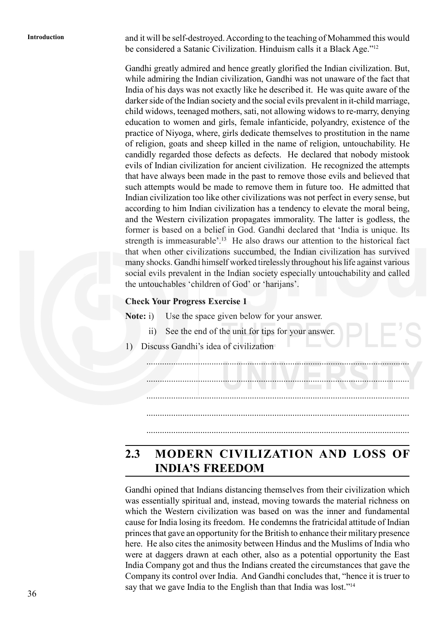**Introduction** and it will be self-destroyed. According to the teaching of Mohammed this would be considered a Satanic Civilization. Hinduism calls it a Black Age."12

> Gandhi greatly admired and hence greatly glorified the Indian civilization. But, while admiring the Indian civilization, Gandhi was not unaware of the fact that India of his days was not exactly like he described it. He was quite aware of the darker side of the Indian society and the social evils prevalent in it-child marriage, child widows, teenaged mothers, sati, not allowing widows to re-marry, denying education to women and girls, female infanticide, polyandry, existence of the practice of Niyoga, where, girls dedicate themselves to prostitution in the name of religion, goats and sheep killed in the name of religion, untouchability. He candidly regarded those defects as defects. He declared that nobody mistook evils of Indian civilization for ancient civilization. He recognized the attempts that have always been made in the past to remove those evils and believed that such attempts would be made to remove them in future too. He admitted that Indian civilization too like other civilizations was not perfect in every sense, but according to him Indian civilization has a tendency to elevate the moral being, and the Western civilization propagates immorality. The latter is godless, the former is based on a belief in God. Gandhi declared that 'India is unique. Its strength is immeasurable'.<sup>13</sup> He also draws our attention to the historical fact that when other civilizations succumbed, the Indian civilization has survived many shocks. Gandhi himself worked tirelessly throughout his life against various social evils prevalent in the Indian society especially untouchability and called the untouchables 'children of God' or 'harijans'.

## **Check Your Progress Exercise 1**

**Note:** i) Use the space given below for your answer.

- ii) See the end of the unit for tips for your answer.
- 1) Discuss Gandhi's idea of civilization

..................................................................................................................... ..................................................................................................................... ..................................................................................................................... ..................................................................................................................... .....................................................................................................................

## **2.3 MODERN CIVILIZATION AND LOSS OF INDIA'S FREEDOM**

Gandhi opined that Indians distancing themselves from their civilization which was essentially spiritual and, instead, moving towards the material richness on which the Western civilization was based on was the inner and fundamental cause for India losing its freedom. He condemns the fratricidal attitude of Indian princes that gave an opportunity for the British to enhance their military presence here. He also cites the animosity between Hindus and the Muslims of India who were at daggers drawn at each other, also as a potential opportunity the East India Company got and thus the Indians created the circumstances that gave the Company its control over India. And Gandhi concludes that, "hence it is truer to say that we gave India to the English than that India was lost."14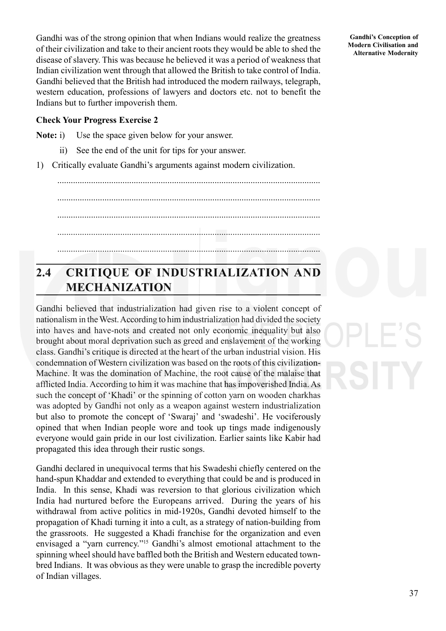Gandhi was of the strong opinion that when Indians would realize the greatness of their civilization and take to their ancient roots they would be able to shed the disease of slavery. This was because he believed it was a period of weakness that Indian civilization went through that allowed the British to take control of India. Gandhi believed that the British had introduced the modern railways, telegraph, western education, professions of lawyers and doctors etc. not to benefit the Indians but to further impoverish them.

## **Check Your Progress Exercise 2**

**Note:** i) Use the space given below for your answer.

- ii) See the end of the unit for tips for your answer.
- 1) Critically evaluate Gandhi's arguments against modern civilization.

..................................................................................................................... ..................................................................................................................... ..................................................................................................................... .....................................................................................................................

## **2.4 CRITIQUE OF INDUSTRIALIZATION AND MECHANIZATION**

Gandhi believed that industrialization had given rise to a violent concept of nationalism in the West. According to him industrialization had divided the society into haves and have-nots and created not only economic inequality but also brought about moral deprivation such as greed and enslavement of the working class. Gandhi's critique is directed at the heart of the urban industrial vision. His condemnation of Western civilization was based on the roots of this civilization-Machine. It was the domination of Machine, the root cause of the malaise that afflicted India. According to him it was machine that has impoverished India. As such the concept of 'Khadi' or the spinning of cotton yarn on wooden charkhas was adopted by Gandhi not only as a weapon against western industrialization but also to promote the concept of 'Swaraj' and 'swadeshi'. He vociferously opined that when Indian people wore and took up tings made indigenously everyone would gain pride in our lost civilization. Earlier saints like Kabir had propagated this idea through their rustic songs.

Gandhi declared in unequivocal terms that his Swadeshi chiefly centered on the hand-spun Khaddar and extended to everything that could be and is produced in India. In this sense, Khadi was reversion to that glorious civilization which India had nurtured before the Europeans arrived. During the years of his withdrawal from active politics in mid-1920s, Gandhi devoted himself to the propagation of Khadi turning it into a cult, as a strategy of nation-building from the grassroots. He suggested a Khadi franchise for the organization and even envisaged a "yarn currency."15 Gandhi's almost emotional attachment to the spinning wheel should have baffled both the British and Western educated townbred Indians. It was obvious as they were unable to grasp the incredible poverty of Indian villages.

**Gandhi's Conception of Modern Civilisation and Alternative Modernity**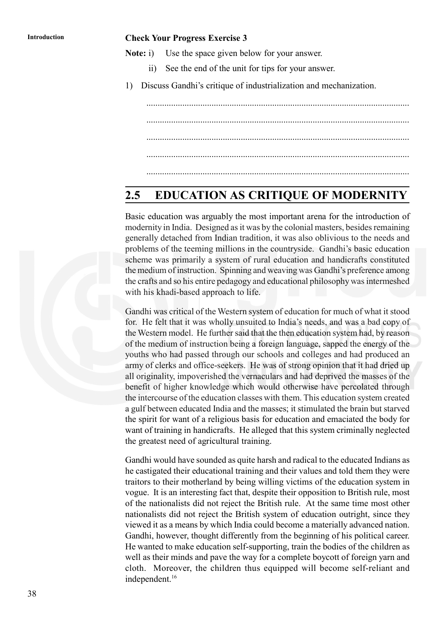## **Introduction Check Your Progress Exercise 3**

**Note:** i) Use the space given below for your answer.

- ii) See the end of the unit for tips for your answer.
- 1) Discuss Gandhi's critique of industrialization and mechanization.

..................................................................................................................... ..................................................................................................................... ..................................................................................................................... .....................................................................................................................

.....................................................................................................................

## **2.5 EDUCATION AS CRITIQUE OF MODERNITY**

Basic education was arguably the most important arena for the introduction of modernity in India. Designed as it was by the colonial masters, besides remaining generally detached from Indian tradition, it was also oblivious to the needs and problems of the teeming millions in the countryside. Gandhi's basic education scheme was primarily a system of rural education and handicrafts constituted the medium of instruction. Spinning and weaving was Gandhi's preference among the crafts and so his entire pedagogy and educational philosophy was intermeshed with his khadi-based approach to life.

Gandhi was critical of the Western system of education for much of what it stood for. He felt that it was wholly unsuited to India's needs, and was a bad copy of the Western model. He further said that the then education system had, by reason of the medium of instruction being a foreign language, sapped the energy of the youths who had passed through our schools and colleges and had produced an army of clerks and office-seekers. He was of strong opinion that it had dried up all originality, impoverished the vernaculars and had deprived the masses of the benefit of higher knowledge which would otherwise have percolated through the intercourse of the education classes with them. This education system created a gulf between educated India and the masses; it stimulated the brain but starved the spirit for want of a religious basis for education and emaciated the body for want of training in handicrafts. He alleged that this system criminally neglected the greatest need of agricultural training.

Gandhi would have sounded as quite harsh and radical to the educated Indians as he castigated their educational training and their values and told them they were traitors to their motherland by being willing victims of the education system in vogue. It is an interesting fact that, despite their opposition to British rule, most of the nationalists did not reject the British rule. At the same time most other nationalists did not reject the British system of education outright, since they viewed it as a means by which India could become a materially advanced nation. Gandhi, however, thought differently from the beginning of his political career. He wanted to make education self-supporting, train the bodies of the children as well as their minds and pave the way for a complete boycott of foreign yarn and cloth. Moreover, the children thus equipped will become self-reliant and independent.<sup>16</sup>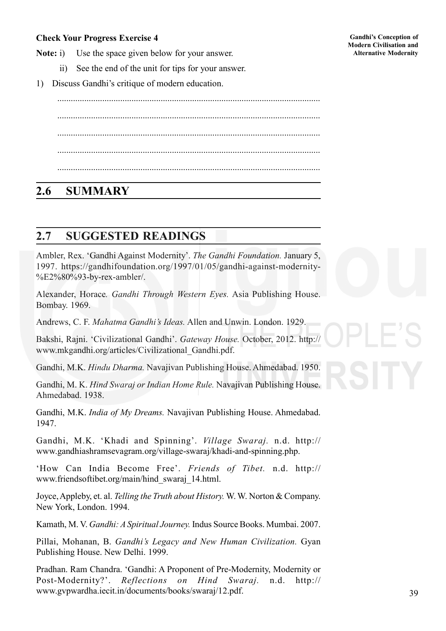## **Check Your Progress Exercise 4**

- **Note:** i) Use the space given below for your answer.
	- ii) See the end of the unit for tips for your answer.
- 1) Discuss Gandhi's critique of modern education.

..................................................................................................................... ..................................................................................................................... ..................................................................................................................... ..................................................................................................................... .....................................................................................................................

## **2.6 SUMMARY**

## **2.7 SUGGESTED READINGS**

Ambler, Rex. 'Gandhi Against Modernity'. *The Gandhi Foundation.* January 5, 1997. https://gandhifoundation.org/1997/01/05/gandhi-against-modernity- %E2%80%93-by-rex-ambler/.

Alexander, Horace*. Gandhi Through Western Eyes.* Asia Publishing House. Bombay. 1969.

Andrews, C. F. *Mahatma Gandhi's Ideas.* Allen and Unwin. London. 1929.

Bakshi, Rajni. 'Civilizational Gandhi'. *Gateway House.* October, 2012. http:// www.mkgandhi.org/articles/Civilizational\_Gandhi.pdf.

Gandhi, M.K. *Hindu Dharma.* Navajivan Publishing House. Ahmedabad. 1950.

Gandhi, M. K. *Hind Swaraj or Indian Home Rule.* Navajivan Publishing House. Ahmedabad. 1938.

Gandhi, M.K. *India of My Dreams.* Navajivan Publishing House. Ahmedabad. 1947.

Gandhi, M.K. 'Khadi and Spinning'. *Village Swaraj.* n.d. http:// www.gandhiashramsevagram.org/village-swaraj/khadi-and-spinning.php.

'How Can India Become Free'. *Friends of Tibet.* n.d. http:// www.friendsoftibet.org/main/hind\_swaraj\_14.html.

Joyce, Appleby, et. al. *Telling the Truth about History.* W. W. Norton & Company. New York, London. 1994.

Kamath, M. V. *Gandhi: A Spiritual Journey.* Indus Source Books. Mumbai. 2007.

Pillai, Mohanan, B. *Gandhi's Legacy and New Human Civilization.* Gyan Publishing House. New Delhi. 1999.

Pradhan. Ram Chandra. 'Gandhi: A Proponent of Pre-Modernity, Modernity or Post-Modernity?'. *Reflections on Hind Swaraj.* n.d. http:// www.gvpwardha.iecit.in/documents/books/swaraj/12.pdf.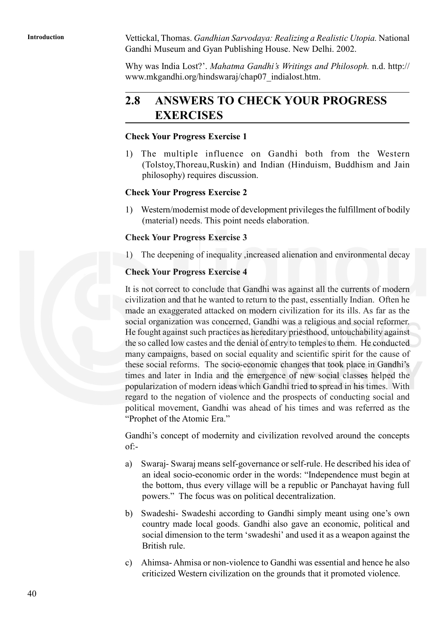**Introduction** Vettickal, Thomas. *Gandhian Sarvodaya: Realizing a Realistic Utopia.* National Gandhi Museum and Gyan Publishing House. New Delhi. 2002.

> Why was India Lost?'. *Mahatma Gandhi's Writings and Philosoph.* n.d. http:// www.mkgandhi.org/hindswaraj/chap07\_indialost.htm.

## **2.8 ANSWERS TO CHECK YOUR PROGRESS EXERCISES**

## **Check Your Progress Exercise 1**

1) The multiple influence on Gandhi both from the Western (Tolstoy,Thoreau,Ruskin) and Indian (Hinduism, Buddhism and Jain philosophy) requires discussion.

## **Check Your Progress Exercise 2**

1) Western/modernist mode of development privileges the fulfillment of bodily (material) needs. This point needs elaboration.

## **Check Your Progress Exercise 3**

1) The deepening of inequality ,increased alienation and environmental decay

## **Check Your Progress Exercise 4**

It is not correct to conclude that Gandhi was against all the currents of modern civilization and that he wanted to return to the past, essentially Indian. Often he made an exaggerated attacked on modern civilization for its ills. As far as the social organization was concerned, Gandhi was a religious and social reformer. He fought against such practices as hereditary priesthood, untouchability against the so called low castes and the denial of entry to temples to them. He conducted many campaigns, based on social equality and scientific spirit for the cause of these social reforms. The socio-economic changes that took place in Gandhi's times and later in India and the emergence of new social classes helped the popularization of modern ideas which Gandhi tried to spread in his times. With regard to the negation of violence and the prospects of conducting social and political movement, Gandhi was ahead of his times and was referred as the "Prophet of the Atomic Era."

Gandhi's concept of modernity and civilization revolved around the concepts of:-

- a) Swaraj- Swaraj means self-governance or self-rule. He described his idea of an ideal socio-economic order in the words: "Independence must begin at the bottom, thus every village will be a republic or Panchayat having full powers." The focus was on political decentralization.
- b) Swadeshi- Swadeshi according to Gandhi simply meant using one's own country made local goods. Gandhi also gave an economic, political and social dimension to the term 'swadeshi' and used it as a weapon against the British rule.
- c) Ahimsa- Ahmisa or non-violence to Gandhi was essential and hence he also criticized Western civilization on the grounds that it promoted violence.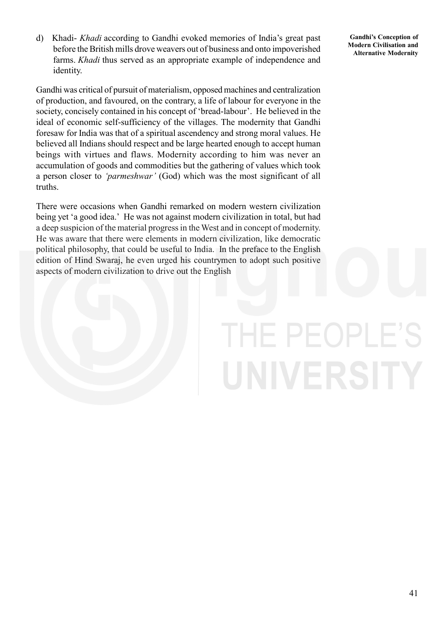d) Khadi- *Khadi* according to Gandhi evoked memories of India's great past before the British mills drove weavers out of business and onto impoverished farms. *Khadi* thus served as an appropriate example of independence and identity.

Gandhi was critical of pursuit of materialism, opposed machines and centralization of production, and favoured, on the contrary, a life of labour for everyone in the society, concisely contained in his concept of 'bread-labour'. He believed in the ideal of economic self-sufficiency of the villages. The modernity that Gandhi foresaw for India was that of a spiritual ascendency and strong moral values. He believed all Indians should respect and be large hearted enough to accept human beings with virtues and flaws. Modernity according to him was never an accumulation of goods and commodities but the gathering of values which took a person closer to *'parmeshwar'* (God) which was the most significant of all truths.

There were occasions when Gandhi remarked on modern western civilization being yet 'a good idea.' He was not against modern civilization in total, but had a deep suspicion of the material progress in the West and in concept of modernity. He was aware that there were elements in modern civilization, like democratic political philosophy, that could be useful to India. In the preface to the English edition of Hind Swaraj, he even urged his countrymen to adopt such positive aspects of modern civilization to drive out the English

**Gandhi's Conception of Modern Civilisation and Alternative Modernity**

# HE PFOPLE'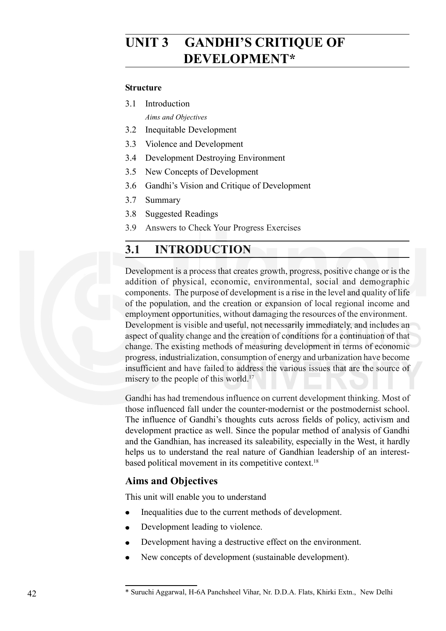## **UNIT 3 GANDHI'S CRITIQUE OF DEVELOPMENT\***

## **Structure**

3.1 Introduction

*Aims and Objectives*

- 3.2 Inequitable Development
- 3.3 Violence and Development
- 3.4 Development Destroying Environment
- 3.5 New Concepts of Development
- 3.6 Gandhi's Vision and Critique of Development
- 3.7 Summary
- 3.8 Suggested Readings
- 3.9 Answers to Check Your Progress Exercises

## **3.1 INTRODUCTION**

Development is a process that creates growth, progress, positive change or is the addition of physical, economic, environmental, social and demographic components. The purpose of development is a rise in the level and quality of life of the population, and the creation or expansion of local regional income and employment opportunities, without damaging the resources of the environment. Development is visible and useful, not necessarily immediately, and includes an aspect of quality change and the creation of conditions for a continuation of that change. The existing methods of measuring development in terms of economic progress, industrialization, consumption of energy and urbanization have become insufficient and have failed to address the various issues that are the source of misery to the people of this world.<sup>17</sup>

Gandhi has had tremendous influence on current development thinking. Most of those influenced fall under the counter-modernist or the postmodernist school. The influence of Gandhi's thoughts cuts across fields of policy, activism and development practice as well. Since the popular method of analysis of Gandhi and the Gandhian, has increased its saleability, especially in the West, it hardly helps us to understand the real nature of Gandhian leadership of an interestbased political movement in its competitive context.<sup>18</sup>

## **Aims and Objectives**

This unit will enable you to understand

- Inequalities due to the current methods of development.  $\bullet$
- Development leading to violence.  $\bullet$
- Development having a destructive effect on the environment.  $\bullet$
- New concepts of development (sustainable development).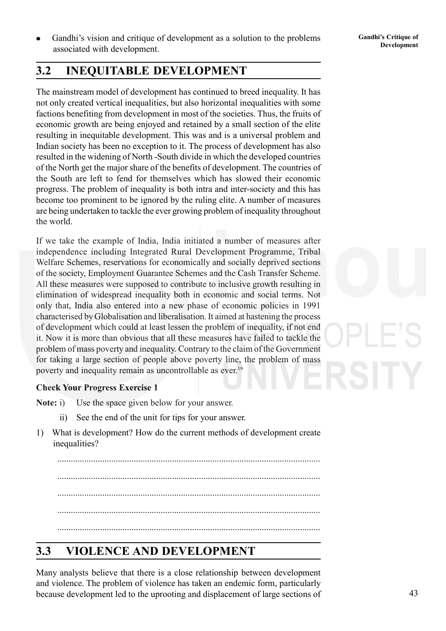## **3.2 INEQUITABLE DEVELOPMENT**

The mainstream model of development has continued to breed inequality. It has not only created vertical inequalities, but also horizontal inequalities with some factions benefiting from development in most of the societies. Thus, the fruits of economic growth are being enjoyed and retained by a small section of the elite resulting in inequitable development. This was and is a universal problem and Indian society has been no exception to it. The process of development has also resulted in the widening of North -South divide in which the developed countries of the North get the major share of the benefits of development. The countries of the South are left to fend for themselves which has slowed their economic progress. The problem of inequality is both intra and inter-society and this has become too prominent to be ignored by the ruling elite. A number of measures are being undertaken to tackle the ever growing problem of inequality throughout the world.

If we take the example of India, India initiated a number of measures after independence including Integrated Rural Development Programme, Tribal Welfare Schemes, reservations for economically and socially deprived sections of the society, Employment Guarantee Schemes and the Cash Transfer Scheme. All these measures were supposed to contribute to inclusive growth resulting in elimination of widespread inequality both in economic and social terms. Not only that, India also entered into a new phase of economic policies in 1991 characterised by Globalisation and liberalisation. It aimed at hastening the process of development which could at least lessen the problem of inequality, if not end it. Now it is more than obvious that all these measures have failed to tackle the problem of mass poverty and inequality. Contrary to the claim of the Government for taking a large section of people above poverty line, the problem of mass poverty and inequality remain as uncontrollable as ever.<sup>19</sup>

## **Check Your Progress Exercise 1**

**Note:** i) Use the space given below for your answer.

- ii) See the end of the unit for tips for your answer.
- 1) What is development? How do the current methods of development create inequalities?

..................................................................................................................... ..................................................................................................................... ..................................................................................................................... ..................................................................................................................... .....................................................................................................................

## **3.3 VIOLENCE AND DEVELOPMENT**

Many analysts believe that there is a close relationship between development and violence. The problem of violence has taken an endemic form, particularly because development led to the uprooting and displacement of large sections of

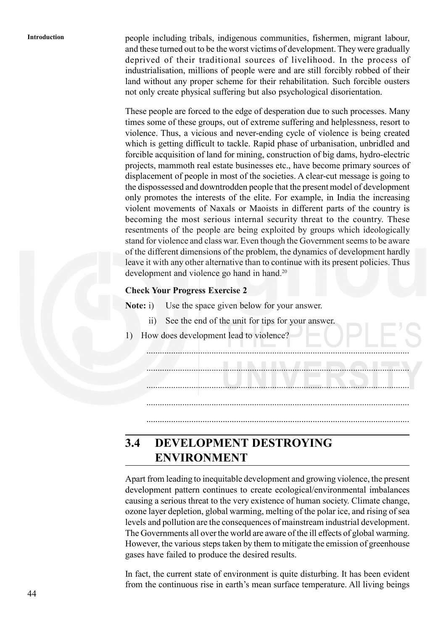**Introduction** people including tribals, indigenous communities, fishermen, migrant labour, and these turned out to be the worst victims of development. They were gradually deprived of their traditional sources of livelihood. In the process of industrialisation, millions of people were and are still forcibly robbed of their land without any proper scheme for their rehabilitation. Such forcible ousters not only create physical suffering but also psychological disorientation.

> These people are forced to the edge of desperation due to such processes. Many times some of these groups, out of extreme suffering and helplessness, resort to violence. Thus, a vicious and never-ending cycle of violence is being created which is getting difficult to tackle. Rapid phase of urbanisation, unbridled and forcible acquisition of land for mining, construction of big dams, hydro-electric projects, mammoth real estate businesses etc., have become primary sources of displacement of people in most of the societies. A clear-cut message is going to the dispossessed and downtrodden people that the present model of development only promotes the interests of the elite. For example, in India the increasing violent movements of Naxals or Maoists in different parts of the country is becoming the most serious internal security threat to the country. These resentments of the people are being exploited by groups which ideologically stand for violence and class war. Even though the Government seems to be aware of the different dimensions of the problem, the dynamics of development hardly leave it with any other alternative than to continue with its present policies. Thus development and violence go hand in hand.<sup>20</sup>

.....................................................................................................................

.....................................................................................................................

.....................................................................................................................

.....................................................................................................................

## **Check Your Progress Exercise 2**

**Note:** i) Use the space given below for your answer.

- ii) See the end of the unit for tips for your answer.
- 1) How does development lead to violence?

**3.4 DEVELOPMENT DESTROYING ENVIRONMENT**

.....................................................................................................................

Apart from leading to inequitable development and growing violence, the present development pattern continues to create ecological/environmental imbalances causing a serious threat to the very existence of human society. Climate change, ozone layer depletion, global warming, melting of the polar ice, and rising of sea levels and pollution are the consequences of mainstream industrial development. The Governments all over the world are aware of the ill effects of global warming. However, the various steps taken by them to mitigate the emission of greenhouse gases have failed to produce the desired results.

In fact, the current state of environment is quite disturbing. It has been evident from the continuous rise in earth's mean surface temperature. All living beings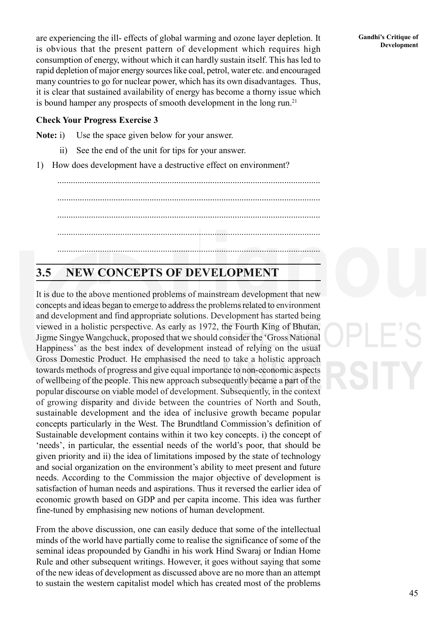are experiencing the ill- effects of global warming and ozone layer depletion. It **Gandhi's Critique of**  $\ddot{\theta}$  and  $\ddot{\theta}$  and  $\ddot{\theta}$  are expected to the gross of development which gespines high **Development** is obvious that the present pattern of development which requires high consumption of energy, without which it can hardly sustain itself. This has led to rapid depletion of major energy sources like coal, petrol, water etc. and encouraged many countries to go for nuclear power, which has its own disadvantages. Thus, it is clear that sustained availability of energy has become a thorny issue which is bound hamper any prospects of smooth development in the long run.<sup>21</sup>

## **Check Your Progress Exercise 3**

**Note:** i) Use the space given below for your answer.

- ii) See the end of the unit for tips for your answer.
- 1) How does development have a destructive effect on environment?

..................................................................................................................... ..................................................................................................................... ..................................................................................................................... ..................................................................................................................... .....................................................................................................................

## **3.5 NEW CONCEPTS OF DEVELOPMENT**

It is due to the above mentioned problems of mainstream development that new concepts and ideas began to emerge to address the problems related to environment and development and find appropriate solutions. Development has started being viewed in a holistic perspective. As early as 1972, the Fourth King of Bhutan, Jigme Singye Wangchuck, proposed that we should consider the 'Gross National Happiness' as the best index of development instead of relying on the usual Gross Domestic Product. He emphasised the need to take a holistic approach towards methods of progress and give equal importance to non-economic aspects of wellbeing of the people. This new approach subsequently became a part of the popular discourse on viable model of development. Subsequently, in the context of growing disparity and divide between the countries of North and South, sustainable development and the idea of inclusive growth became popular concepts particularly in the West. The Brundtland Commission's definition of Sustainable development contains within it two key concepts. i) the concept of 'needs', in particular, the essential needs of the world's poor, that should be given priority and ii) the idea of limitations imposed by the state of technology and social organization on the environment's ability to meet present and future needs. According to the Commission the major objective of development is satisfaction of human needs and aspirations. Thus it reversed the earlier idea of economic growth based on GDP and per capita income. This idea was further fine-tuned by emphasising new notions of human development.

From the above discussion, one can easily deduce that some of the intellectual minds of the world have partially come to realise the significance of some of the seminal ideas propounded by Gandhi in his work Hind Swaraj or Indian Home Rule and other subsequent writings. However, it goes without saying that some of the new ideas of development as discussed above are no more than an attempt to sustain the western capitalist model which has created most of the problems **Gandhi's Critique of**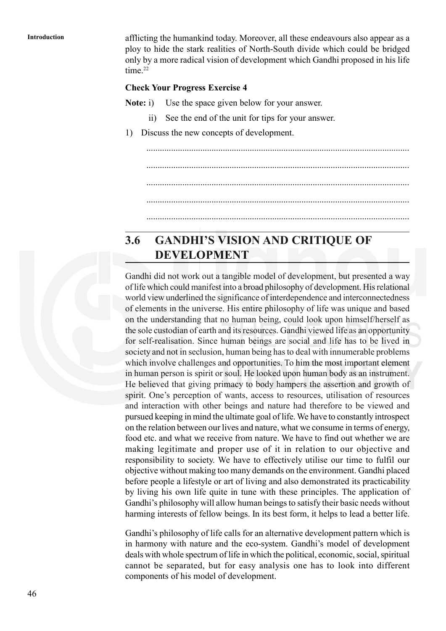**Introduction** afflicting the humankind today. Moreover, all these endeavours also appear as a ploy to hide the stark realities of North-South divide which could be bridged only by a more radical vision of development which Gandhi proposed in his life time.<sup>22</sup>

## **Check Your Progress Exercise 4**

**Note:** i) Use the space given below for your answer.

- ii) See the end of the unit for tips for your answer.
- 1) Discuss the new concepts of development.

..................................................................................................................... ..................................................................................................................... ..................................................................................................................... ..................................................................................................................... .....................................................................................................................

## **3.6 GANDHI'S VISION AND CRITIQUE OF DEVELOPMENT**

Gandhi did not work out a tangible model of development, but presented a way of life which could manifest into a broad philosophy of development. His relational world view underlined the significance of interdependence and interconnectedness of elements in the universe. His entire philosophy of life was unique and based on the understanding that no human being, could look upon himself/herself as the sole custodian of earth and its resources. Gandhi viewed life as an opportunity for self-realisation. Since human beings are social and life has to be lived in society and not in seclusion, human being has to deal with innumerable problems which involve challenges and opportunities. To him the most important element in human person is spirit or soul. He looked upon human body as an instrument. He believed that giving primacy to body hampers the assertion and growth of spirit. One's perception of wants, access to resources, utilisation of resources and interaction with other beings and nature had therefore to be viewed and pursued keeping in mind the ultimate goal of life. We have to constantly introspect on the relation between our lives and nature, what we consume in terms of energy, food etc. and what we receive from nature. We have to find out whether we are making legitimate and proper use of it in relation to our objective and responsibility to society. We have to effectively utilise our time to fulfil our objective without making too many demands on the environment. Gandhi placed before people a lifestyle or art of living and also demonstrated its practicability by living his own life quite in tune with these principles. The application of Gandhi's philosophy will allow human beings to satisfy their basic needs without harming interests of fellow beings. In its best form, it helps to lead a better life.

Gandhi's philosophy of life calls for an alternative development pattern which is in harmony with nature and the eco-system. Gandhi's model of development deals with whole spectrum of life in which the political, economic, social, spiritual cannot be separated, but for easy analysis one has to look into different components of his model of development.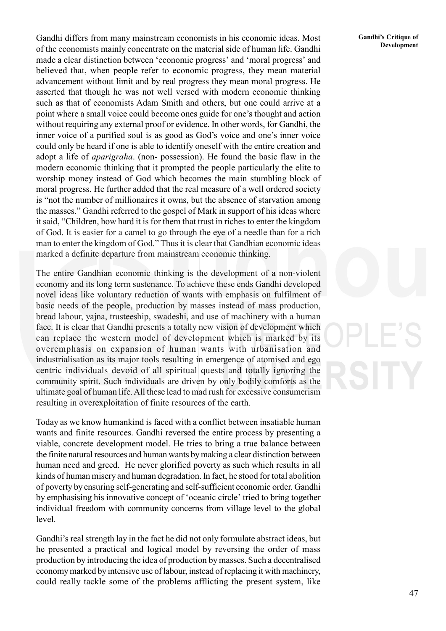Gandhi differs from many mainstream economists in his economic ideas. Most<br> **Candhi's Critique of**<br> **Development** of the economists mainly concentrate on the material side of human life. Gandhi made a clear distinction between 'economic progress' and 'moral progress' and believed that, when people refer to economic progress, they mean material advancement without limit and by real progress they mean moral progress. He asserted that though he was not well versed with modern economic thinking such as that of economists Adam Smith and others, but one could arrive at a point where a small voice could become ones guide for one's thought and action without requiring any external proof or evidence. In other words, for Gandhi, the inner voice of a purified soul is as good as God's voice and one's inner voice could only be heard if one is able to identify oneself with the entire creation and adopt a life of *aparigraha*. (non- possession). He found the basic flaw in the modern economic thinking that it prompted the people particularly the elite to worship money instead of God which becomes the main stumbling block of moral progress. He further added that the real measure of a well ordered society is "not the number of millionaires it owns, but the absence of starvation among the masses." Gandhi referred to the gospel of Mark in support of his ideas where it said, "Children, how hard it is for them that trust in riches to enter the kingdom of God. It is easier for a camel to go through the eye of a needle than for a rich man to enter the kingdom of God." Thus it is clear that Gandhian economic ideas marked a definite departure from mainstream economic thinking.

The entire Gandhian economic thinking is the development of a non-violent economy and its long term sustenance. To achieve these ends Gandhi developed novel ideas like voluntary reduction of wants with emphasis on fulfilment of basic needs of the people, production by masses instead of mass production, bread labour, yajna, trusteeship, swadeshi, and use of machinery with a human face. It is clear that Gandhi presents a totally new vision of development which can replace the western model of development which is marked by its overemphasis on expansion of human wants with urbanisation and industrialisation as its major tools resulting in emergence of atomised and ego centric individuals devoid of all spiritual quests and totally ignoring the community spirit. Such individuals are driven by only bodily comforts as the ultimate goal of human life. All these lead to mad rush for excessive consumerism resulting in overexploitation of finite resources of the earth.

Today as we know humankind is faced with a conflict between insatiable human wants and finite resources. Gandhi reversed the entire process by presenting a viable, concrete development model. He tries to bring a true balance between the finite natural resources and human wants by making a clear distinction between human need and greed. He never glorified poverty as such which results in all kinds of human misery and human degradation. In fact, he stood for total abolition of poverty by ensuring self-generating and self-sufficient economic order. Gandhi by emphasising his innovative concept of 'oceanic circle' tried to bring together individual freedom with community concerns from village level to the global level.

Gandhi's real strength lay in the fact he did not only formulate abstract ideas, but he presented a practical and logical model by reversing the order of mass production by introducing the idea of production by masses. Such a decentralised economy marked by intensive use of labour, instead of replacing it with machinery, could really tackle some of the problems afflicting the present system, like **Gandhi's Critique of**

47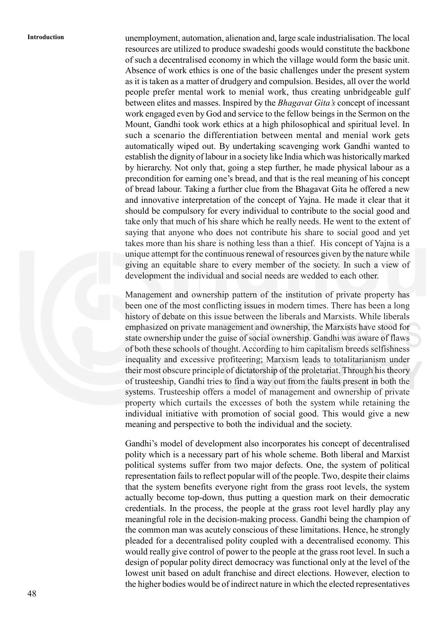**Introduction** unemployment, automation, alienation and, large scale industrialisation. The local resources are utilized to produce swadeshi goods would constitute the backbone of such a decentralised economy in which the village would form the basic unit. Absence of work ethics is one of the basic challenges under the present system as it is taken as a matter of drudgery and compulsion. Besides, all over the world people prefer mental work to menial work, thus creating unbridgeable gulf between elites and masses. Inspired by the *Bhagavat Gita's* concept of incessant work engaged even by God and service to the fellow beings in the Sermon on the Mount, Gandhi took work ethics at a high philosophical and spiritual level. In such a scenario the differentiation between mental and menial work gets automatically wiped out. By undertaking scavenging work Gandhi wanted to establish the dignity of labour in a society like India which was historically marked by hierarchy. Not only that, going a step further, he made physical labour as a precondition for earning one's bread, and that is the real meaning of his concept of bread labour. Taking a further clue from the Bhagavat Gita he offered a new and innovative interpretation of the concept of Yajna. He made it clear that it should be compulsory for every individual to contribute to the social good and take only that much of his share which he really needs. He went to the extent of saying that anyone who does not contribute his share to social good and yet takes more than his share is nothing less than a thief. His concept of Yajna is a unique attempt for the continuous renewal of resources given by the nature while giving an equitable share to every member of the society. In such a view of development the individual and social needs are wedded to each other.

> Management and ownership pattern of the institution of private property has been one of the most conflicting issues in modern times. There has been a long history of debate on this issue between the liberals and Marxists. While liberals emphasized on private management and ownership, the Marxists have stood for state ownership under the guise of social ownership. Gandhi was aware of flaws of both these schools of thought. According to him capitalism breeds selfishness inequality and excessive profiteering; Marxism leads to totalitarianism under their most obscure principle of dictatorship of the proletariat. Through his theory of trusteeship, Gandhi tries to find a way out from the faults present in both the systems. Trusteeship offers a model of management and ownership of private property which curtails the excesses of both the system while retaining the individual initiative with promotion of social good. This would give a new meaning and perspective to both the individual and the society.

> Gandhi's model of development also incorporates his concept of decentralised polity which is a necessary part of his whole scheme. Both liberal and Marxist political systems suffer from two major defects. One, the system of political representation fails to reflect popular will of the people. Two, despite their claims that the system benefits everyone right from the grass root levels, the system actually become top-down, thus putting a question mark on their democratic credentials. In the process, the people at the grass root level hardly play any meaningful role in the decision-making process. Gandhi being the champion of the common man was acutely conscious of these limitations. Hence, he strongly pleaded for a decentralised polity coupled with a decentralised economy. This would really give control of power to the people at the grass root level. In such a design of popular polity direct democracy was functional only at the level of the lowest unit based on adult franchise and direct elections. However, election to the higher bodies would be of indirect nature in which the elected representatives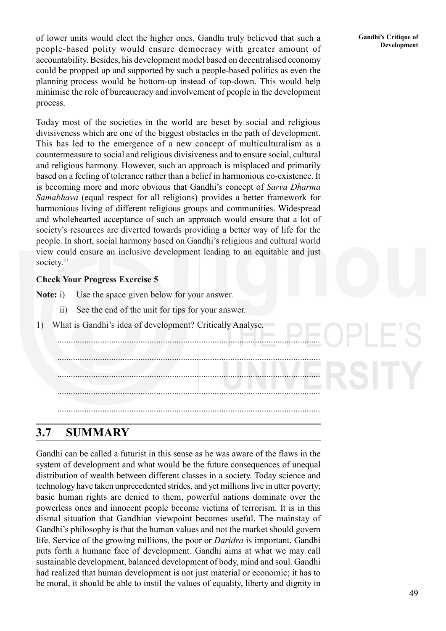of lower units would elect the higher ones. Gandhi truly believed that such a<br> **Development**<br> **Development** people-based polity would ensure democracy with greater amount of accountability. Besides, his development model based on decentralised economy could be propped up and supported by such a people-based politics as even the planning process would be bottom-up instead of top-down. This would help minimise the role of bureaucracy and involvement of people in the development process.

Today most of the societies in the world are beset by social and religious divisiveness which are one of the biggest obstacles in the path of development. This has led to the emergence of a new concept of multiculturalism as a countermeasure to social and religious divisiveness and to ensure social, cultural and religious harmony. However, such an approach is misplaced and primarily based on a feeling of tolerance rather than a belief in harmonious co-existence. It is becoming more and more obvious that Gandhi's concept of *Sarva Dharma Samabhava* (equal respect for all religions) provides a better framework for harmonious living of different religious groups and communities. Widespread and wholehearted acceptance of such an approach would ensure that a lot of society's resources are diverted towards providing a better way of life for the people. In short, social harmony based on Gandhi's religious and cultural world view could ensure an inclusive development leading to an equitable and just society.<sup>23</sup>

## **Check Your Progress Exercise 5**

**Note:** i) Use the space given below for your answer.

Gandhi can be called a futurist in this sense as he was aware of the flaws in the system of development and what would be the future consequences of unequal distribution of wealth between different classes in a society. Today science and technology have taken unprecedented strides, and yet millions live in utter poverty; basic human rights are denied to them, powerful nations dominate over the powerless ones and innocent people become victims of terrorism. It is in this dismal situation that Gandhian viewpoint becomes useful. The mainstay of Gandhi's philosophy is that the human values and not the market should govern life. Service of the growing millions, the poor or *Daridra* is important. Gandhi puts forth a humane face of development. Gandhi aims at what we may call sustainable development, balanced development of body, mind and soul. Gandhi had realized that human development is not just material or economic; it has to be moral, it should be able to instil the values of equality, liberty and dignity in

## **3.7 SUMMARY**

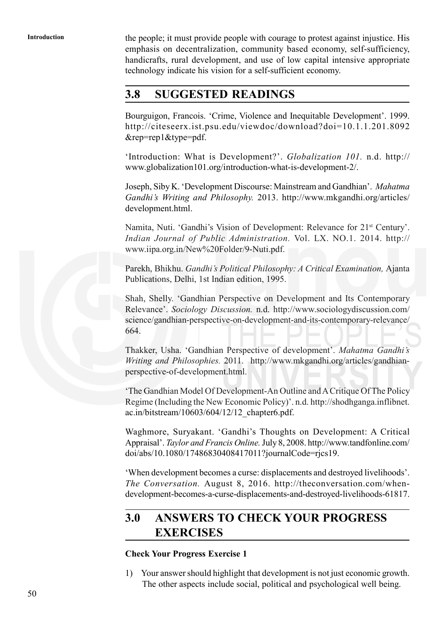**Introduction** the people; it must provide people with courage to protest against injustice. His emphasis on decentralization, community based economy, self-sufficiency, handicrafts, rural development, and use of low capital intensive appropriate technology indicate his vision for a self-sufficient economy.

## **3.8 SUGGESTED READINGS**

Bourguigon, Francois. 'Crime, Violence and Inequitable Development'. 1999. http://citeseerx.ist.psu.edu/viewdoc/download?doi=10.1.1.201.8092 &rep=rep1&type=pdf.

'Introduction: What is Development?'. *Globalization 101.* n.d. http:// www.globalization101.org/introduction-what-is-development-2/.

Joseph, Siby K. 'Development Discourse: Mainstream and Gandhian'. *Mahatma Gandhi's Writing and Philosophy.* 2013. http://www.mkgandhi.org/articles/ development.html.

Namita, Nuti. 'Gandhi's Vision of Development: Relevance for 21st Century'. *Indian Journal of Public Administration.* Vol. LX. NO.1. 2014. http:// www.iipa.org.in/New%20Folder/9-Nuti.pdf.

Parekh, Bhikhu. *Gandhi's Political Philosophy: A Critical Examination,* Ajanta Publications, Delhi, 1st Indian edition, 1995.

Shah, Shelly. 'Gandhian Perspective on Development and Its Contemporary Relevance'. *Sociology Discussion.* n.d. http://www.sociologydiscussion.com/ science/gandhian-perspective-on-development-and-its-contemporary-relevance/ 664.

Thakker, Usha. 'Gandhian Perspective of development'. *Mahatma Gandhi's Writing and Philosophies.* 2011. http://www.mkgandhi.org/articles/gandhianperspective-of-development.html.

'The Gandhian Model Of Development-An Outline and A Critique Of The Policy Regime (Including the New Economic Policy)'. n.d. http://shodhganga.inflibnet. ac.in/bitstream/10603/604/12/12\_chapter6.pdf.

Waghmore, Suryakant. 'Gandhi's Thoughts on Development: A Critical Appraisal'. *Taylor and Francis Online.* July 8, 2008. http://www.tandfonline.com/ doi/abs/10.1080/17486830408417011?journalCode=rjcs19.

'When development becomes a curse: displacements and destroyed livelihoods'. *The Conversation.* August 8, 2016. http://theconversation.com/whendevelopment-becomes-a-curse-displacements-and-destroyed-livelihoods-61817.

## **3.0 ANSWERS TO CHECK YOUR PROGRESS EXERCISES**

## **Check Your Progress Exercise 1**

1) Your answer should highlight that development is not just economic growth. The other aspects include social, political and psychological well being.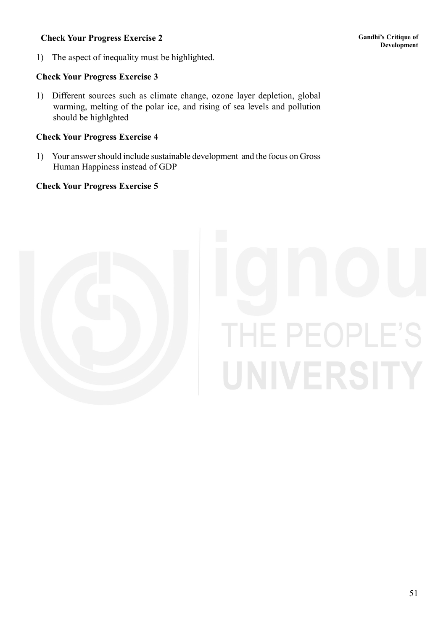## **Check Your Progress Exercise 2**

1) The aspect of inequality must be highlighted.

## **Check Your Progress Exercise 3**

1) Different sources such as climate change, ozone layer depletion, global warming, melting of the polar ice, and rising of sea levels and pollution should be highlghted

## **Check Your Progress Exercise 4**

1) Your answer should include sustainable development and the focus on Gross Human Happiness instead of GDP

## **Check Your Progress Exercise 5**



# HE PEOPLE'S